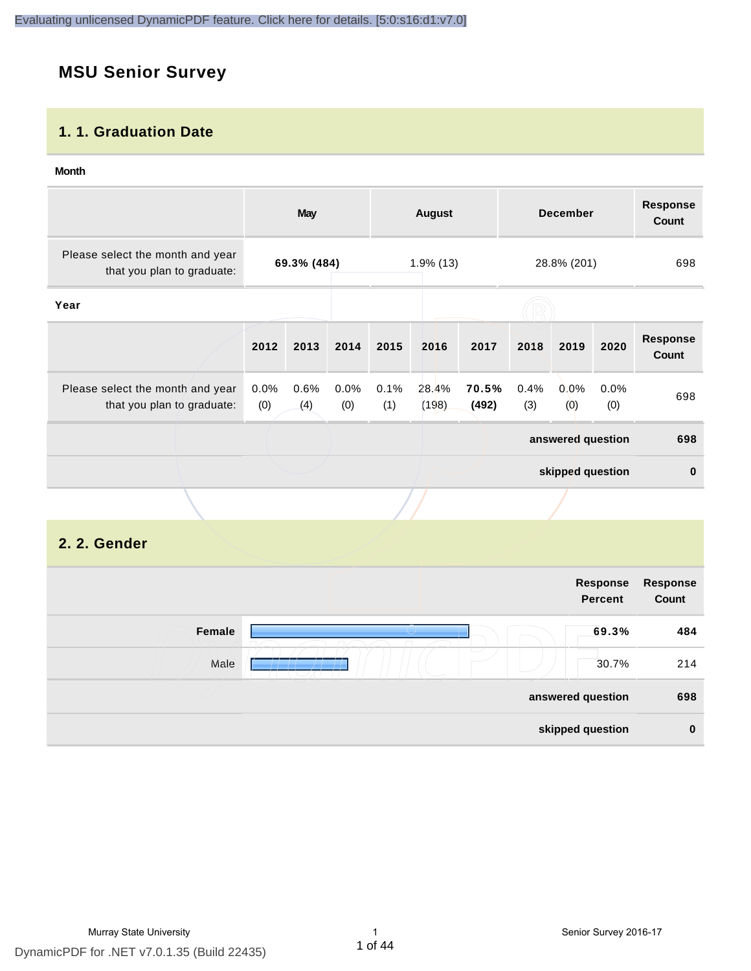# **MSU Senior Survey**

# **1. 1. Graduation Date**

#### **Month**

|                                                                |                                            | <b>May</b>  |             |             | <b>August</b>  |                |             | <b>December</b>   |             | <b>Response</b><br>Count |
|----------------------------------------------------------------|--------------------------------------------|-------------|-------------|-------------|----------------|----------------|-------------|-------------------|-------------|--------------------------|
| Please select the month and year<br>that you plan to graduate: | 69.3% (484)<br>$1.9\%$ (13)<br>28.8% (201) |             |             | 698         |                |                |             |                   |             |                          |
| Year                                                           |                                            |             |             |             |                |                |             |                   |             |                          |
|                                                                | 2012                                       | 2013        | 2014        | 2015        | 2016           | 2017           | 2018        | 2019              | 2020        | <b>Response</b><br>Count |
| Please select the month and year<br>that you plan to graduate: | 0.0%<br>(0)                                | 0.6%<br>(4) | 0.0%<br>(0) | 0.1%<br>(1) | 28.4%<br>(198) | 70.5%<br>(492) | 0.4%<br>(3) | $0.0\%$<br>(0)    | 0.0%<br>(0) | 698                      |
|                                                                |                                            |             |             |             |                |                |             | answered question |             | 698                      |
|                                                                |                                            |             |             |             |                |                |             | skipped question  |             | $\bf{0}$                 |
|                                                                |                                            |             |             |             |                |                |             |                   |             |                          |

# **2. 2. Gender**

|        | Response<br><b>Percent</b> | Response<br>Count |
|--------|----------------------------|-------------------|
| Female | 69.3%                      | 484               |
| Male   | 30.7%                      | 214               |
|        | answered question          | 698               |
|        | skipped question           | $\mathbf 0$       |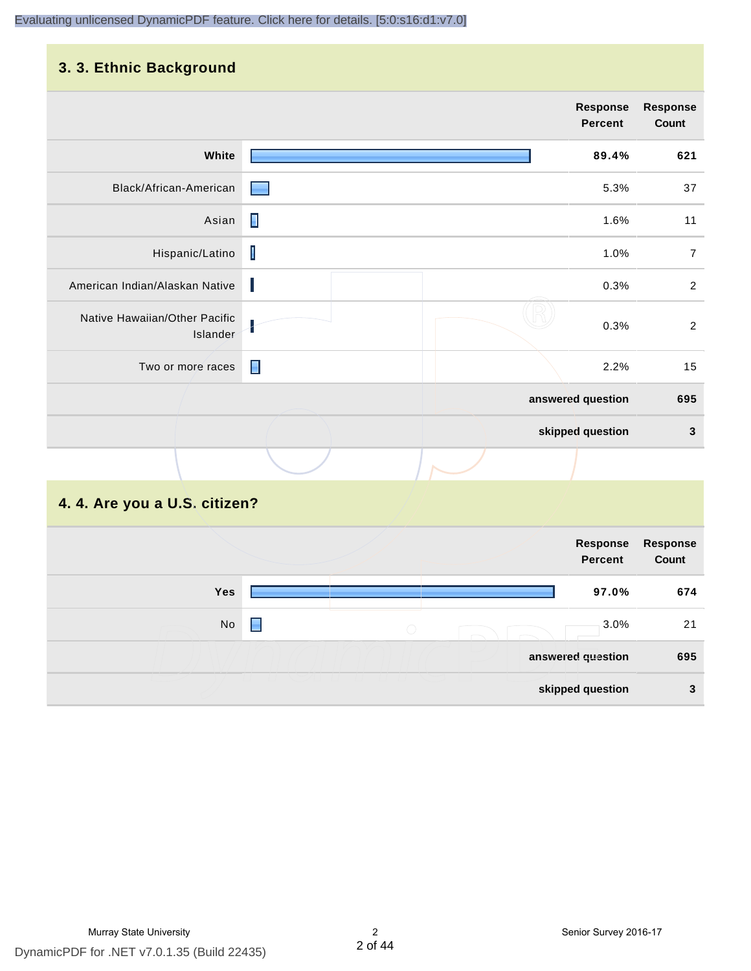# **3. 3. Ethnic Background**

| . <b>.</b>                                |                |                                   |                          |
|-------------------------------------------|----------------|-----------------------------------|--------------------------|
|                                           |                | <b>Response</b><br><b>Percent</b> | <b>Response</b><br>Count |
| White                                     |                | 89.4%                             | 621                      |
| Black/African-American                    |                | 5.3%                              | 37                       |
| Asian                                     | П              | 1.6%                              | 11                       |
| Hispanic/Latino                           | Ī              | 1.0%                              | $\overline{7}$           |
| American Indian/Alaskan Native            | Ш              | 0.3%                              | $\sqrt{2}$               |
| Native Hawaiian/Other Pacific<br>Islander |                | 0.3%                              | $\sqrt{2}$               |
| Two or more races                         | $\blacksquare$ | 2.2%                              | 15                       |
|                                           |                | answered question                 | 695                      |
|                                           |                | skipped question                  | $\mathbf{3}$             |
|                                           |                |                                   |                          |

# **4. 4. Are you a U.S. citizen?**

|     |   |                 | Response<br><b>Percent</b> | Response<br>Count |
|-----|---|-----------------|----------------------------|-------------------|
| Yes |   |                 | 97.0%                      | 674               |
| No  | н | $\left(\right)$ | 3.0%                       | 21                |
|     |   |                 | answered question          | 695               |
|     |   |                 | skipped question           | 3                 |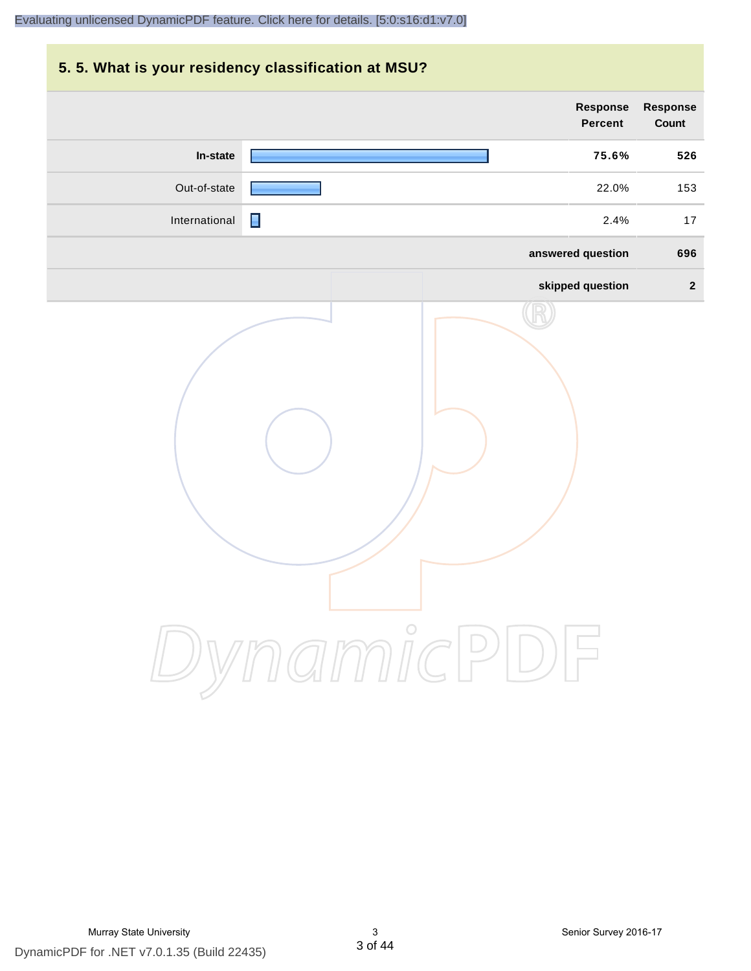# **5. 5. What is your residency classification at MSU? Response Response Percent Count In-state 75.6% 526** Out-of-state **22.0%** 153 International 17 2.4% 17 **answered question 696 skipped question 2** DynamicPDF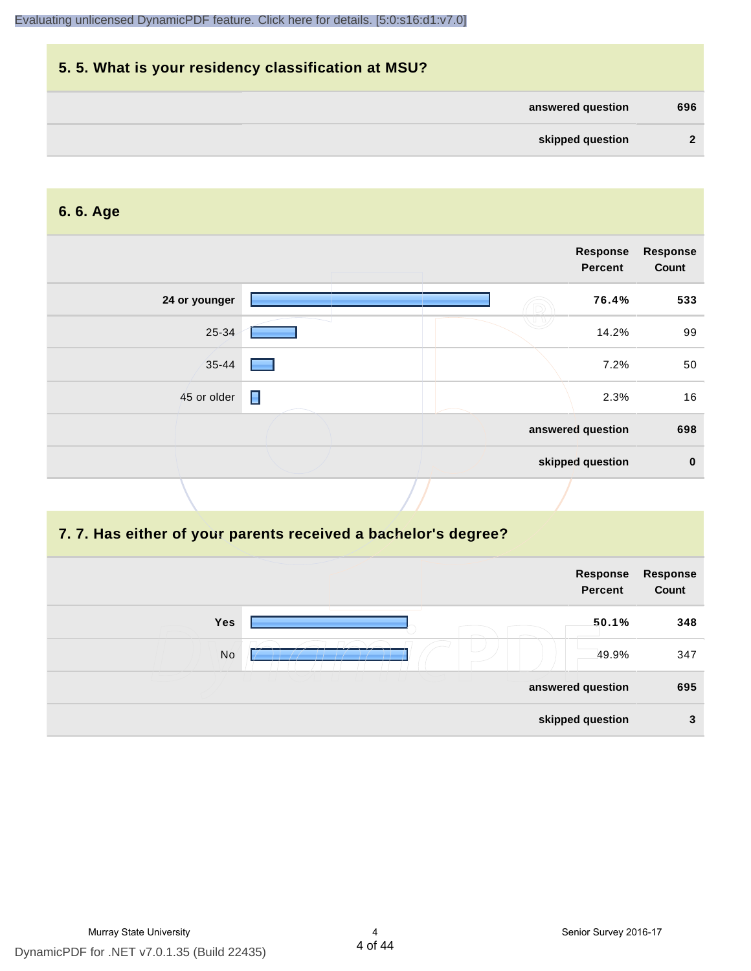| 5.5. What is your residency classification at MSU? |     |
|----------------------------------------------------|-----|
| answered question                                  | 696 |
| skipped question                                   | 2   |

# **6. 6. Age**

|                               | Response<br><b>Percent</b> | <b>Response</b><br>Count |
|-------------------------------|----------------------------|--------------------------|
| 24 or younger                 | 76.4%                      | 533                      |
| 25-34                         | 14.2%                      | 99                       |
| $35 - 44$                     | 7.2%                       | 50                       |
| $\blacksquare$<br>45 or older | 2.3%                       | 16                       |
|                               | answered question          | 698                      |
|                               | skipped question           | $\bf{0}$                 |

# **7. 7. Has either of your parents received a bachelor's degree?**

|     | Response<br><b>Percent</b> | <b>Response</b><br>Count |
|-----|----------------------------|--------------------------|
| Yes | 50.1%                      | 348                      |
| No  | 49.9%                      | 347                      |
|     | answered question          | 695                      |
|     | skipped question           | 3                        |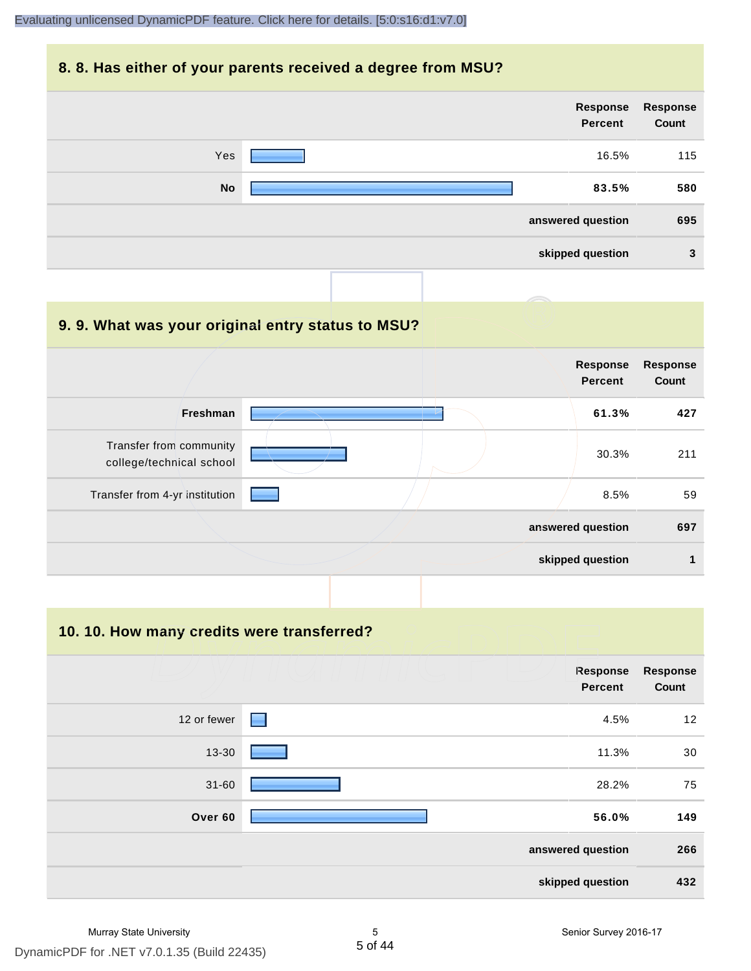### **8. 8. Has either of your parents received a degree from MSU?**

|           | Response<br>Percent | <b>Response</b><br>Count |
|-----------|---------------------|--------------------------|
| Yes       | 16.5%               | 115                      |
| <b>No</b> | 83.5%               | 580                      |
|           | answered question   | 695                      |
|           | skipped question    | 3                        |

| 9.9. What was your original entry status to MSU?    |                                   |                          |
|-----------------------------------------------------|-----------------------------------|--------------------------|
|                                                     | <b>Response</b><br><b>Percent</b> | <b>Response</b><br>Count |
| Freshman                                            | 61.3%                             | 427                      |
| Transfer from community<br>college/technical school | 30.3%                             | 211                      |
| Transfer from 4-yr institution                      | 8.5%                              | 59                       |
|                                                     | answered question                 | 697                      |
|                                                     | skipped question                  |                          |

**10. 10. How many credits were transferred?**

|             | Response<br><b>Percent</b> | <b>Response</b><br>Count |
|-------------|----------------------------|--------------------------|
| 12 or fewer | $\blacksquare$<br>4.5%     | 12                       |
| 13-30       | 11.3%                      | 30                       |
| $31 - 60$   | 28.2%                      | 75                       |
| Over 60     | 56.0%                      | 149                      |
|             | answered question          | 266                      |
|             | skipped question           | 432                      |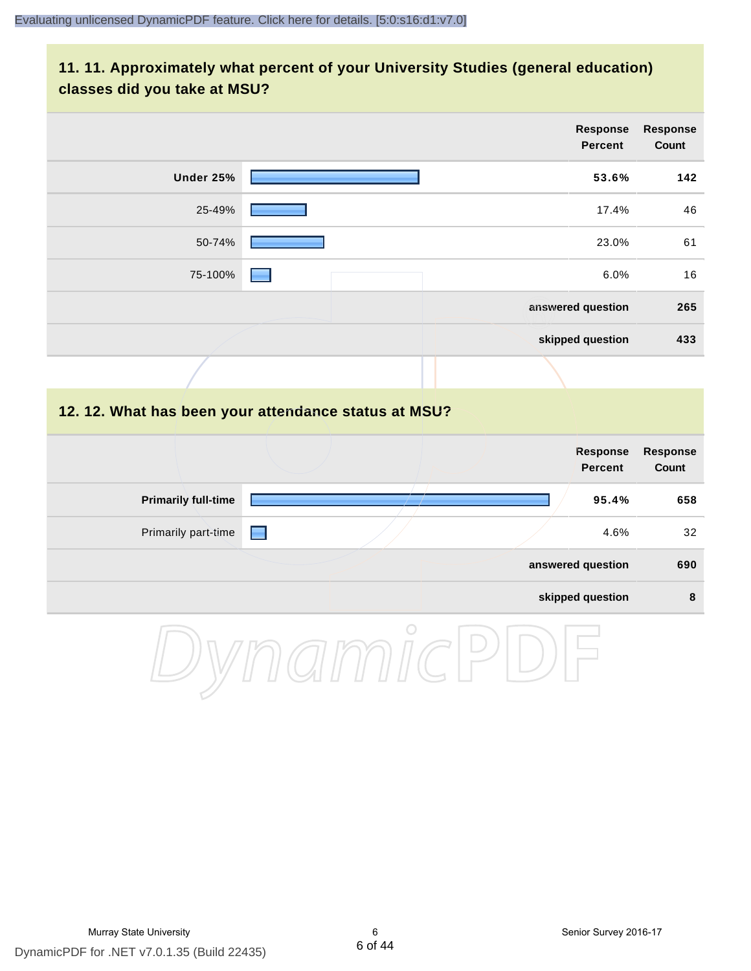# **11. 11. Approximately what percent of your University Studies (general education) classes did you take at MSU?**

|                            |                                                      | <b>Response</b><br><b>Percent</b> | <b>Response</b><br>Count |
|----------------------------|------------------------------------------------------|-----------------------------------|--------------------------|
| Under 25%                  |                                                      | 53.6%                             | 142                      |
| 25-49%                     |                                                      | 17.4%                             | 46                       |
| 50-74%                     |                                                      | 23.0%                             | 61                       |
| 75-100%                    |                                                      | 6.0%                              | 16                       |
|                            |                                                      | answered question                 | 265                      |
|                            |                                                      | skipped question                  | 433                      |
|                            |                                                      |                                   |                          |
|                            | 12. 12. What has been your attendance status at MSU? |                                   |                          |
|                            |                                                      | <b>Response</b><br><b>Percent</b> | <b>Response</b><br>Count |
| <b>Primarily full-time</b> |                                                      | 95.4%                             | 658                      |
| Primarily part-time        | E                                                    | 4.6%                              | 32                       |
|                            |                                                      | answered question                 | 690                      |
|                            |                                                      | skipped question                  | $\pmb{8}$                |
|                            | $\cap$                                               |                                   |                          |

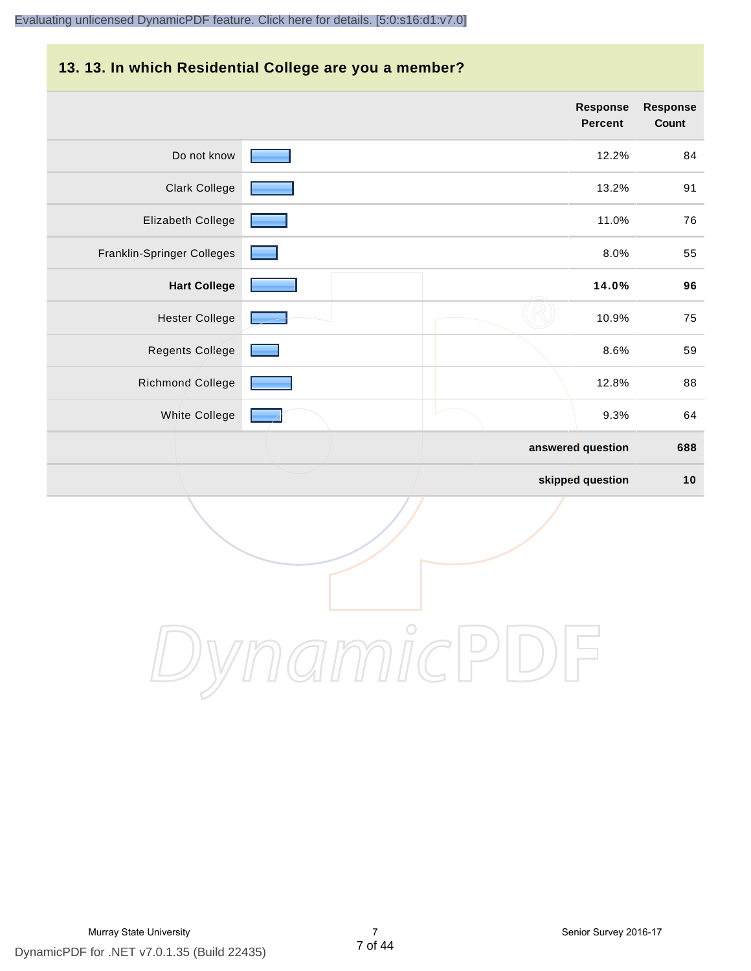# **13. 13. In which Residential College are you a member?**

|                            | <b>Response</b><br><b>Percent</b> | <b>Response</b><br>Count |
|----------------------------|-----------------------------------|--------------------------|
| Do not know                | 12.2%                             | 84                       |
| <b>Clark College</b>       | 13.2%                             | 91                       |
| Elizabeth College          | 11.0%                             | 76                       |
| Franklin-Springer Colleges | 8.0%                              | 55                       |
| <b>Hart College</b>        | 14.0%                             | 96                       |
| <b>Hester College</b>      | 10.9%                             | 75                       |
| <b>Regents College</b>     | 8.6%                              | 59                       |
| Richmond College           | 12.8%                             | 88                       |
| White College              | 9.3%                              | 64                       |
|                            | answered question                 | 688                      |
|                            | skipped question                  | 10                       |

DynamicPDF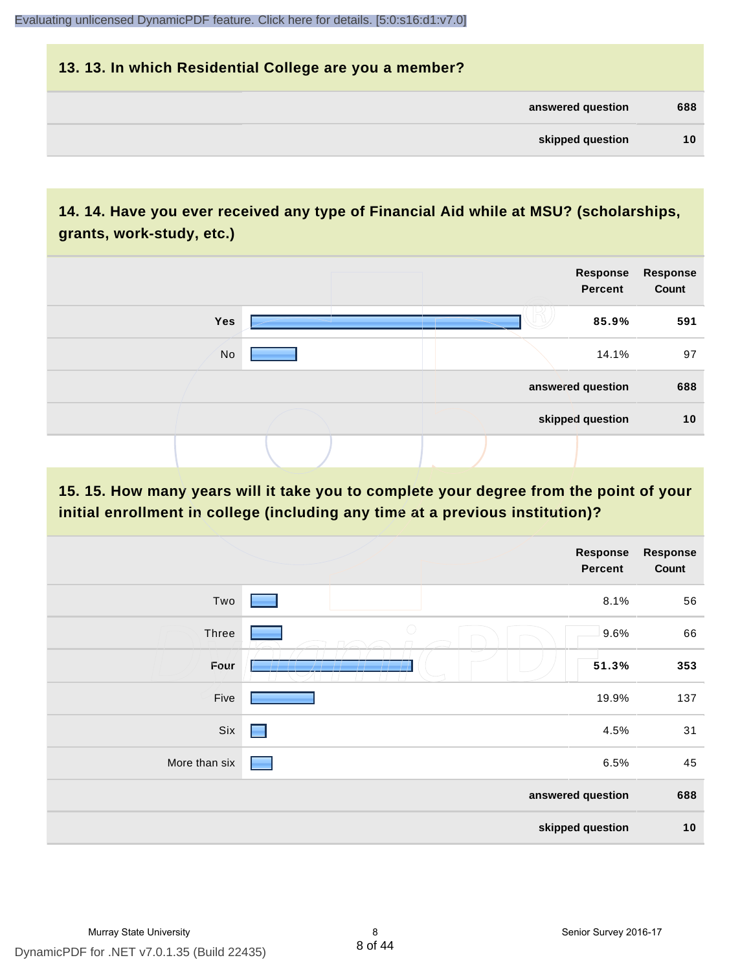| 13. 13. In which Residential College are you a member? |     |
|--------------------------------------------------------|-----|
| answered question                                      | 688 |
| skipped question                                       | 10  |

# **14. 14. Have you ever received any type of Financial Aid while at MSU? (scholarships, grants, work-study, etc.)**



**15. 15. How many years will it take you to complete your degree from the point of your initial enrollment in college (including any time at a previous institution)?**

|               |            | <b>Response</b><br>Percent | <b>Response</b><br>Count |
|---------------|------------|----------------------------|--------------------------|
| Two           |            | 8.1%                       | 56                       |
| Three         | $\bigcirc$ | 9.6%                       | 66                       |
| Four          |            | 51.3%                      | 353                      |
| Five          |            | 19.9%                      | 137                      |
| Six           | e e        | 4.5%                       | 31                       |
| More than six |            | 6.5%                       | 45                       |
|               |            | answered question          | 688                      |
|               |            | skipped question           | 10                       |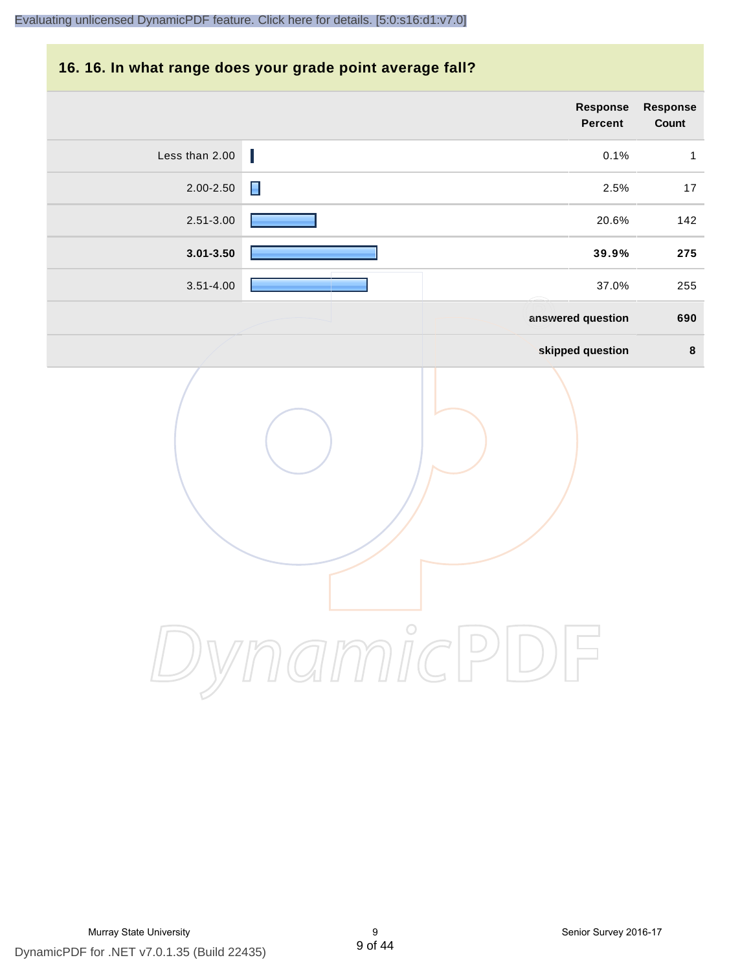# **16. 16. In what range does your grade point average fall?**

| Response<br>Count | Response<br>Percent |                |
|-------------------|---------------------|----------------|
| $\mathbf{1}$      | I<br>0.1%           | Less than 2.00 |
| $17$              | Π<br>2.5%           | 2.00-2.50      |
| 142               | 20.6%               | 2.51-3.00      |
| 275               | 39.9%               | $3.01 - 3.50$  |
| 255               | 37.0%               | $3.51 - 4.00$  |
| 690               | answered question   |                |
| $\pmb{8}$         | skipped question    |                |
|                   | $\bigcirc$          |                |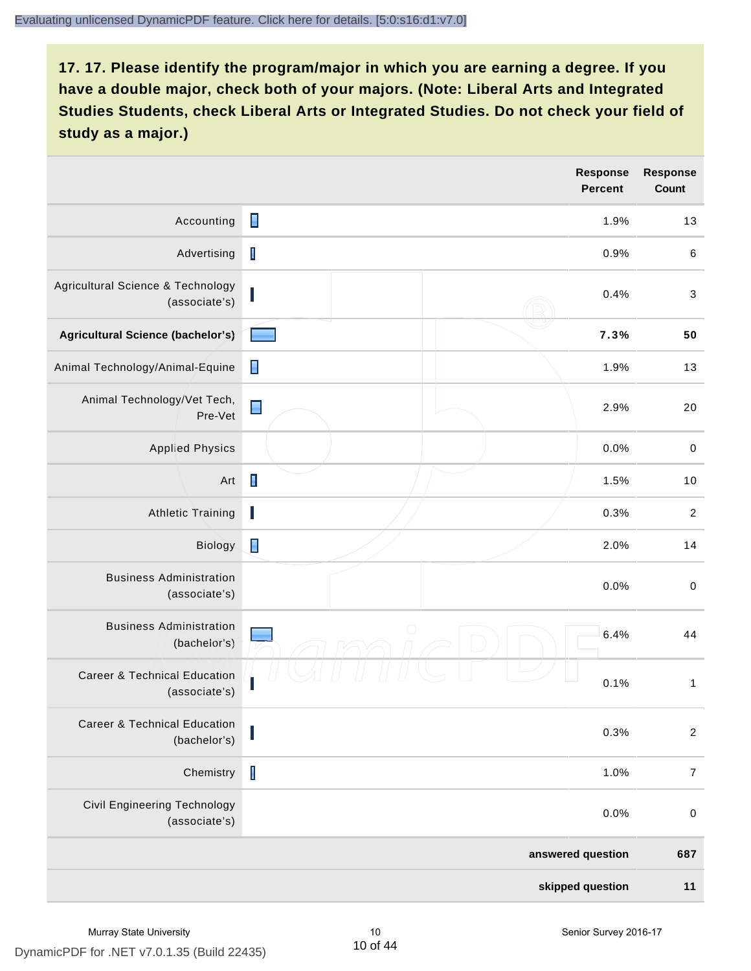|                                                          |                | <b>Response</b><br><b>Percent</b> | <b>Response</b><br>Count |
|----------------------------------------------------------|----------------|-----------------------------------|--------------------------|
| Accounting                                               | $\blacksquare$ | 1.9%                              | 13                       |
| Advertising                                              | $\mathbf I$    | 0.9%                              | $\,6$                    |
| Agricultural Science & Technology<br>(associate's)       | L              | 0.4%                              | $\sqrt{3}$               |
| Agricultural Science (bachelor's)                        |                | 7.3%                              | 50                       |
| Animal Technology/Animal-Equine                          | П              | 1.9%                              | 13                       |
| Animal Technology/Vet Tech,<br>Pre-Vet                   | $\blacksquare$ | 2.9%                              | 20                       |
| <b>Applied Physics</b>                                   |                | 0.0%                              | $\,0\,$                  |
| Art                                                      | $\blacksquare$ | 1.5%                              | 10                       |
| <b>Athletic Training</b>                                 | I              | 0.3%                              | $\overline{2}$           |
| Biology                                                  | П              | 2.0%                              | 14                       |
| <b>Business Administration</b><br>(associate's)          |                | 0.0%                              | $\pmb{0}$                |
| <b>Business Administration</b><br>(bachelor's)           | $\bigcap$      | 6.4%                              | 44                       |
| <b>Career &amp; Technical Education</b><br>(associate's) |                | 0.1%                              | $\mathbf{1}$             |
| <b>Career &amp; Technical Education</b><br>(bachelor's)  |                | 0.3%                              | $\boldsymbol{2}$         |
| Chemistry                                                | $\mathsf I$    | 1.0%                              | $\boldsymbol{7}$         |
| <b>Civil Engineering Technology</b><br>(associate's)     |                | 0.0%                              | $\pmb{0}$                |
|                                                          |                | answered question                 | 687                      |
|                                                          |                | skipped question                  | 11                       |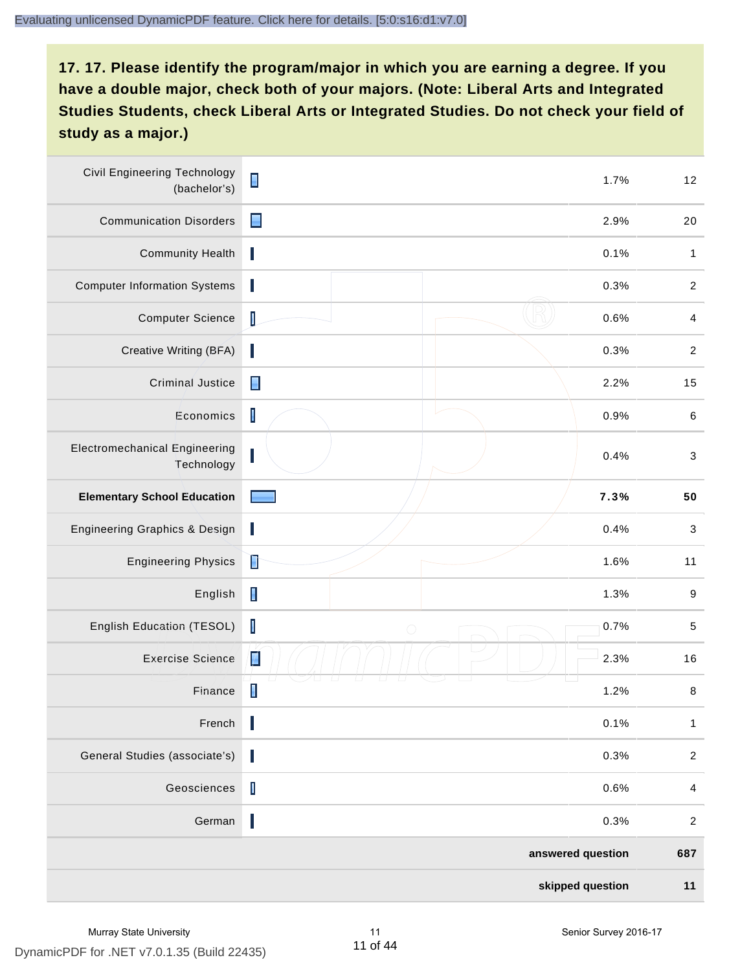| <b>Civil Engineering Technology</b><br>(bachelor's) | $\blacksquare$    | 1.7% | 12                        |
|-----------------------------------------------------|-------------------|------|---------------------------|
| <b>Communication Disorders</b>                      | $\blacksquare$    | 2.9% | 20                        |
| <b>Community Health</b>                             | ı                 | 0.1% | $\mathbf{1}$              |
| <b>Computer Information Systems</b>                 | J                 | 0.3% | $\sqrt{2}$                |
| <b>Computer Science</b>                             | I                 | 0.6% | $\overline{4}$            |
| Creative Writing (BFA)                              | ı                 | 0.3% | $\boldsymbol{2}$          |
| Criminal Justice                                    | Ε                 | 2.2% | 15                        |
| Economics                                           | $\mathsf I$       | 0.9% | $\,6$                     |
| <b>Electromechanical Engineering</b><br>Technology  | L                 | 0.4% | $\ensuremath{\mathsf{3}}$ |
| <b>Elementary School Education</b>                  |                   | 7.3% | 50                        |
| <b>Engineering Graphics &amp; Design</b>            | I                 | 0.4% | $\sqrt{3}$                |
| <b>Engineering Physics</b>                          | Ì                 | 1.6% | 11                        |
| English                                             | $\blacksquare$    | 1.3% | 9                         |
| English Education (TESOL)                           | I<br>$\bigcirc$   | 0.7% | $\mathbf 5$               |
| <b>Exercise Science</b>                             | Z                 | 2.3% | 16                        |
| Finance                                             | $\blacksquare$    | 1.2% | 8                         |
| French                                              | I                 | 0.1% | $\mathbf{1}$              |
| General Studies (associate's)                       | I                 | 0.3% | $\boldsymbol{2}$          |
| Geosciences                                         | $\mathsf I$       | 0.6% | $\overline{4}$            |
| German                                              | I                 | 0.3% | $\boldsymbol{2}$          |
|                                                     | answered question |      | 687                       |
|                                                     | skipped question  |      | 11                        |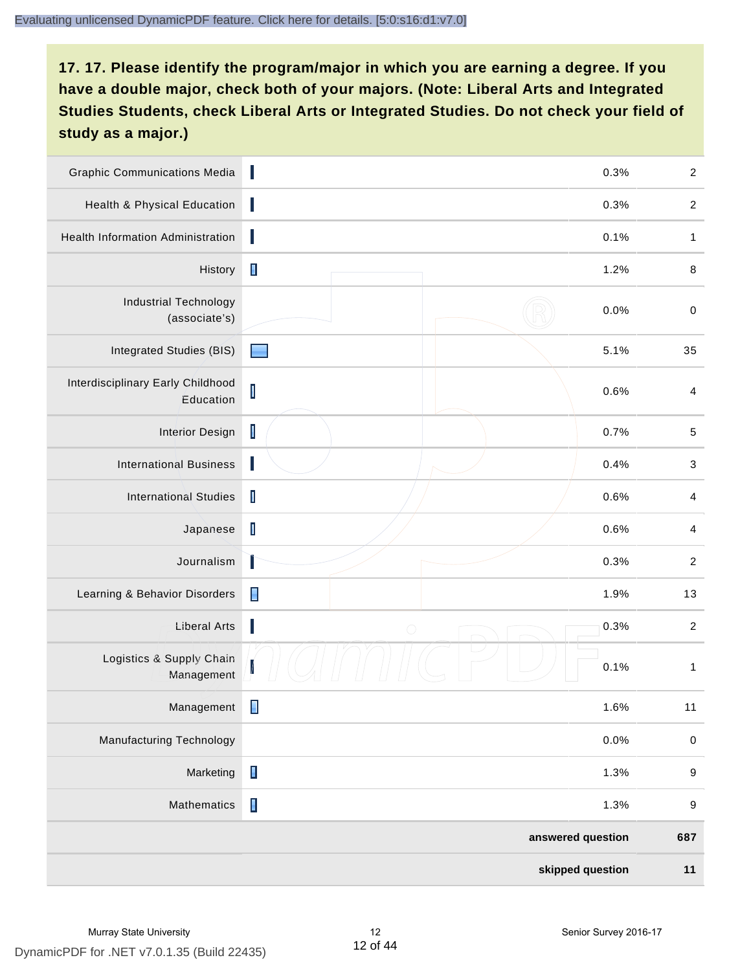| <b>Graphic Communications Media</b>            | Π                        | 0.3%              | $\sqrt{2}$       |
|------------------------------------------------|--------------------------|-------------------|------------------|
| Health & Physical Education                    | ı                        | 0.3%              | $\boldsymbol{2}$ |
| Health Information Administration              |                          | 0.1%              | 1                |
| History                                        | $\blacksquare$           | 1.2%              | $\,8\,$          |
| <b>Industrial Technology</b><br>(associate's)  |                          | 0.0%              | $\mathbf 0$      |
| Integrated Studies (BIS)                       |                          | 5.1%              | 35               |
| Interdisciplinary Early Childhood<br>Education | $\mathsf I$              | 0.6%              | $\overline{4}$   |
| <b>Interior Design</b>                         | $\mathsf I$              | 0.7%              | $\,$ 5 $\,$      |
| <b>International Business</b>                  | H                        | 0.4%              | 3                |
| <b>International Studies</b>                   | $\mathbf I$              | 0.6%              | $\overline{4}$   |
| Japanese                                       | I                        | 0.6%              | $\overline{4}$   |
| Journalism                                     |                          | 0.3%              | $\boldsymbol{2}$ |
| Learning & Behavior Disorders                  | $\blacksquare$           | 1.9%              | 13               |
| <b>Liberal Arts</b>                            | ı<br>$\bigcirc$          | 0.3%              | $\sqrt{2}$       |
| Logistics & Supply Chain<br>Management         | $\overline{\mathcal{L}}$ | 0.1%              | $\mathbf{1}$     |
| Management                                     |                          | 1.6%              | 11               |
| <b>Manufacturing Technology</b>                |                          | 0.0%              | $\pmb{0}$        |
| Marketing                                      | $\blacksquare$           | 1.3%              | $\boldsymbol{9}$ |
| Mathematics                                    | $\blacksquare$           | 1.3%              | $\boldsymbol{9}$ |
|                                                |                          | answered question | 687              |
|                                                |                          | skipped question  | 11               |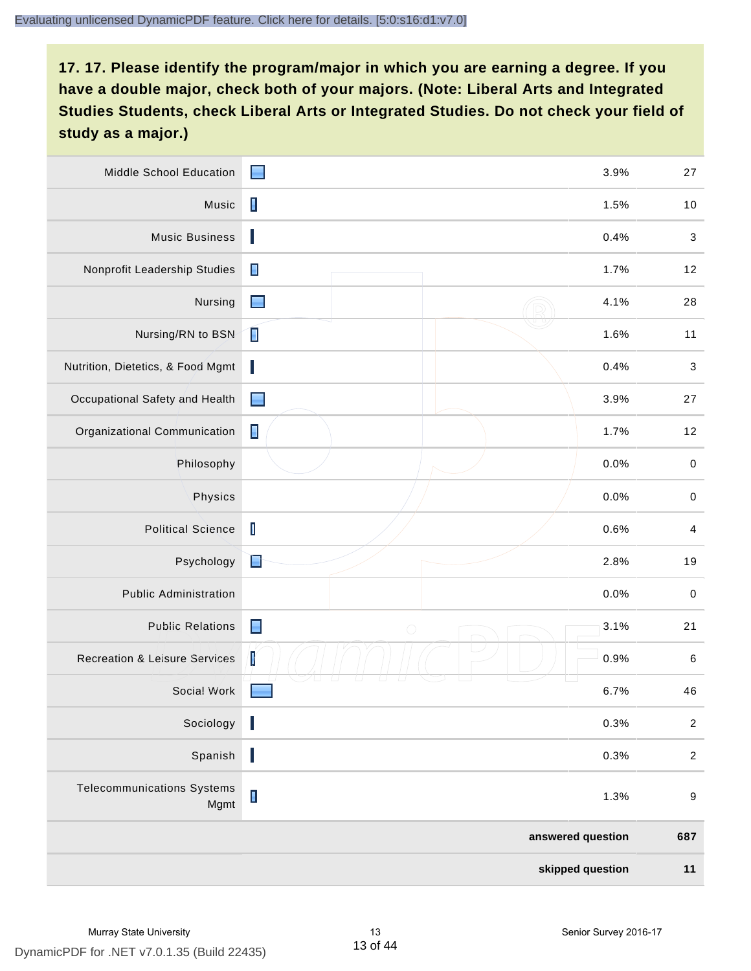| <b>Middle School Education</b>            | ■                            | 3.9%              | 27                        |
|-------------------------------------------|------------------------------|-------------------|---------------------------|
| Music                                     | $\blacksquare$               | 1.5%              | 10                        |
| <b>Music Business</b>                     |                              | 0.4%              | $\sqrt{3}$                |
| Nonprofit Leadership Studies              | $\blacksquare$               | 1.7%              | 12                        |
| Nursing                                   | -                            | 4.1%              | 28                        |
| Nursing/RN to BSN                         | П                            | 1.6%              | 11                        |
| Nutrition, Dietetics, & Food Mgmt         |                              | 0.4%              | $\ensuremath{\mathsf{3}}$ |
| Occupational Safety and Health            | ▆                            | 3.9%              | 27                        |
| Organizational Communication              | $\blacksquare$               | 1.7%              | 12                        |
| Philosophy                                |                              | 0.0%              | $\pmb{0}$                 |
| Physics                                   |                              | 0.0%              | $\,0\,$                   |
| <b>Political Science</b>                  | $\mathbf I$                  | 0.6%              | $\overline{a}$            |
| Psychology                                | È                            | 2.8%              | 19                        |
| <b>Public Administration</b>              |                              | 0.0%              | $\mathbf 0$               |
| <b>Public Relations</b>                   | $\blacksquare$<br>$\bigcirc$ | 3.1%              | 21                        |
| <b>Recreation &amp; Leisure Services</b>  | $\mathbf V$                  | 0.9%              | 6                         |
| Social Work                               |                              | 6.7%              | 46                        |
| Sociology                                 | I                            | 0.3%              | $\sqrt{2}$                |
| Spanish                                   | I                            | 0.3%              | $\sqrt{2}$                |
| <b>Telecommunications Systems</b><br>Mgmt | $\blacksquare$               | 1.3%              | $\boldsymbol{9}$          |
|                                           |                              | answered question | 687                       |
|                                           |                              | skipped question  | $11$                      |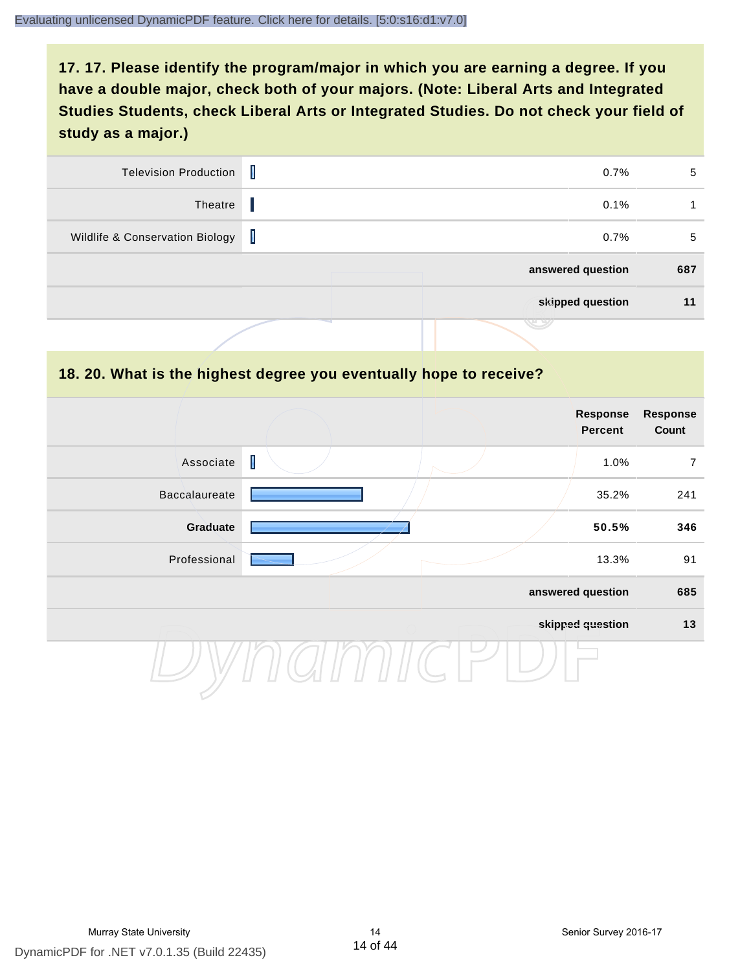| <b>Television Production</b>    | T | 0.7%              | 5   |
|---------------------------------|---|-------------------|-----|
| Theatre                         |   | 0.1%              |     |
| Wildlife & Conservation Biology | Т | 0.7%              | 5   |
|                                 |   | answered question | 687 |
|                                 |   | skipped question  | 11  |
|                                 |   |                   |     |

#### **18. 20. What is the highest degree you eventually hope to receive?**

|                                                                                                                                                                                                                                                                                                                                                                                               | Response<br>Percent | <b>Response</b><br>Count |
|-----------------------------------------------------------------------------------------------------------------------------------------------------------------------------------------------------------------------------------------------------------------------------------------------------------------------------------------------------------------------------------------------|---------------------|--------------------------|
| $\begin{array}{c} \rule{0pt}{2.5ex} \rule{0pt}{2.5ex} \rule{0pt}{2.5ex} \rule{0pt}{2.5ex} \rule{0pt}{2.5ex} \rule{0pt}{2.5ex} \rule{0pt}{2.5ex} \rule{0pt}{2.5ex} \rule{0pt}{2.5ex} \rule{0pt}{2.5ex} \rule{0pt}{2.5ex} \rule{0pt}{2.5ex} \rule{0pt}{2.5ex} \rule{0pt}{2.5ex} \rule{0pt}{2.5ex} \rule{0pt}{2.5ex} \rule{0pt}{2.5ex} \rule{0pt}{2.5ex} \rule{0pt}{2.5ex} \rule{0$<br>Associate | 1.0%                | 7                        |
| Baccalaureate                                                                                                                                                                                                                                                                                                                                                                                 | 35.2%               | 241                      |
| Graduate                                                                                                                                                                                                                                                                                                                                                                                      | 50.5%               | 346                      |
| Professional                                                                                                                                                                                                                                                                                                                                                                                  | 13.3%               | 91                       |
|                                                                                                                                                                                                                                                                                                                                                                                               | answered question   | 685                      |
|                                                                                                                                                                                                                                                                                                                                                                                               | skipped question    | 13                       |
|                                                                                                                                                                                                                                                                                                                                                                                               |                     |                          |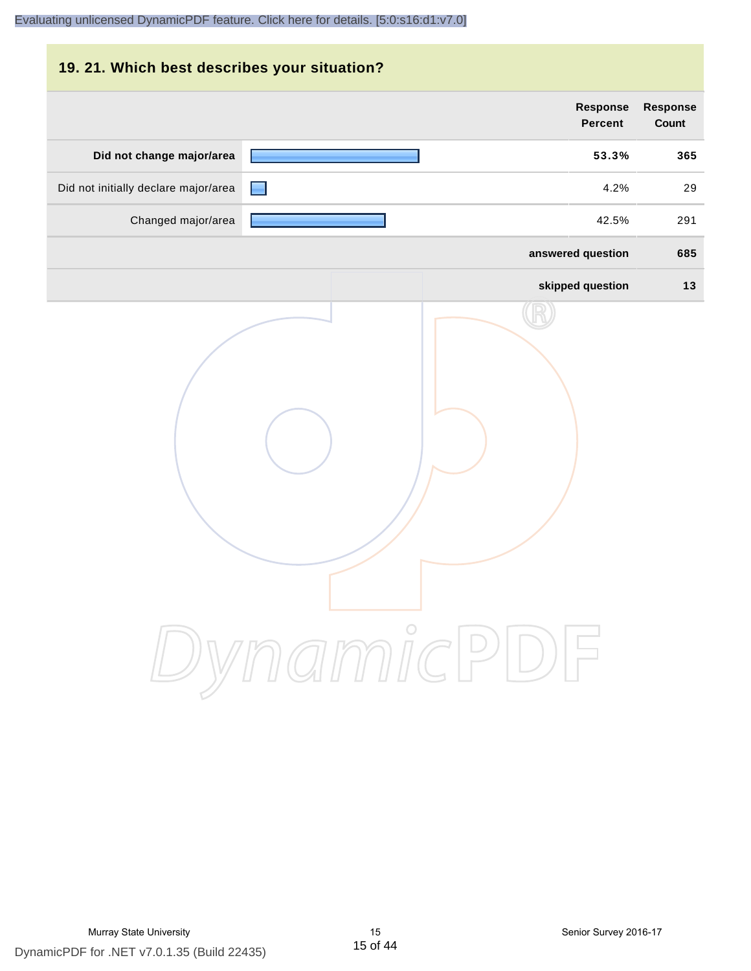|                          | 19. 21. Which best describes your situation? |            |                                      |  |  |
|--------------------------|----------------------------------------------|------------|--------------------------------------|--|--|
| <b>Response</b><br>Count | <b>Response</b><br><b>Percent</b>            |            |                                      |  |  |
| 365                      | 53.3%                                        |            | Did not change major/area            |  |  |
| 29                       | 4.2%                                         |            | Did not initially declare major/area |  |  |
| 291                      | 42.5%                                        |            | Changed major/area                   |  |  |
| 685                      | answered question                            |            |                                      |  |  |
| 13                       | skipped question                             |            |                                      |  |  |
|                          |                                              | DynamicPDF |                                      |  |  |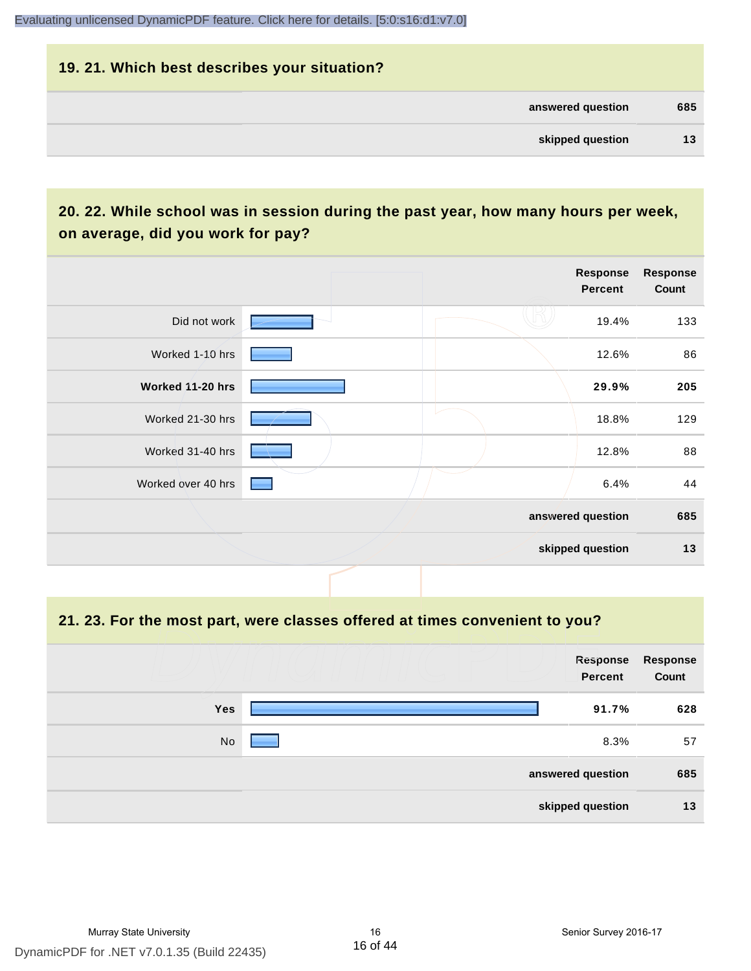# **19. 21. Which best describes your situation? answered question 685 skipped question 13**

# **20. 22. While school was in session during the past year, how many hours per week, on average, did you work for pay?**

|                    |  | Response<br><b>Percent</b> | <b>Response</b><br>Count |
|--------------------|--|----------------------------|--------------------------|
| Did not work       |  | 19.4%                      | 133                      |
| Worked 1-10 hrs    |  | 12.6%                      | 86                       |
| Worked 11-20 hrs   |  | 29.9%                      | 205                      |
| Worked 21-30 hrs   |  | 18.8%                      | 129                      |
| Worked 31-40 hrs   |  | 12.8%                      | 88                       |
| Worked over 40 hrs |  | 6.4%                       | 44                       |
|                    |  | answered question          | 685                      |
|                    |  | skipped question           | 13                       |

#### **21. 23. For the most part, were classes offered at times convenient to you?**

|            | Response<br>Percent | <b>Response</b><br>Count |
|------------|---------------------|--------------------------|
| <b>Yes</b> | 91.7%               | 628                      |
| No         | 8.3%                | 57                       |
|            | answered question   | 685                      |
|            | skipped question    | 13                       |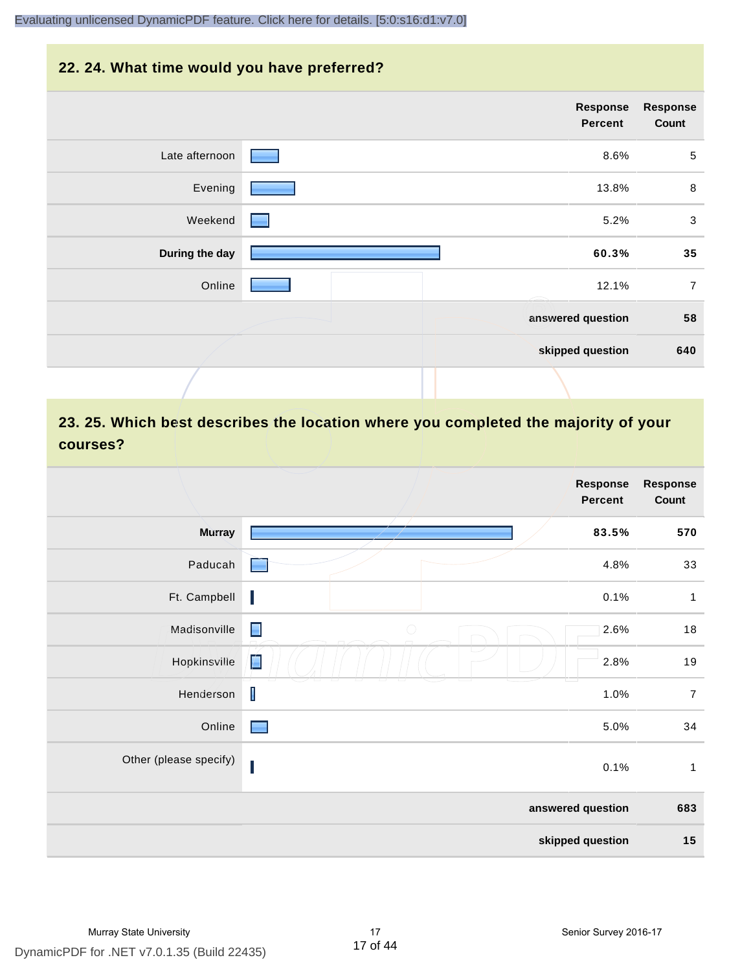# **22. 24. What time would you have preferred?**

|                | Response<br>Percent | <b>Response</b><br>Count |
|----------------|---------------------|--------------------------|
| Late afternoon | 8.6%                | $\sqrt{5}$               |
| Evening        | 13.8%               | 8                        |
| Weekend        | 5.2%                | $\mathbf{3}$             |
| During the day | 60.3%               | 35                       |
| Online         | 12.1%               | $\overline{7}$           |
|                | answered question   | 58                       |
|                | skipped question    | 640                      |
|                |                     |                          |

# **23. 25. Which best describes the location where you completed the majority of your courses?**

|                        |                               | <b>Response</b><br><b>Percent</b> | <b>Response</b><br>Count |
|------------------------|-------------------------------|-----------------------------------|--------------------------|
| <b>Murray</b>          |                               | 83.5%                             | 570                      |
| Paducah                |                               | 4.8%                              | 33                       |
| Ft. Campbell           | I                             | 0.1%                              | $\mathbf{1}$             |
| Madisonville           | $\blacksquare$<br>$\bigcirc$  | 2.6%                              | 18                       |
| Hopkinsville           | $\overline{\phantom{a}}$<br>É | 2.8%                              | 19                       |
| Henderson              | $\mathsf I$                   | 1.0%                              | $\overline{7}$           |
| Online                 | $\blacksquare$                | 5.0%                              | 34                       |
| Other (please specify) | I                             | 0.1%                              | $\mathbf{1}$             |
|                        |                               | answered question                 | 683                      |
|                        |                               | skipped question                  | 15                       |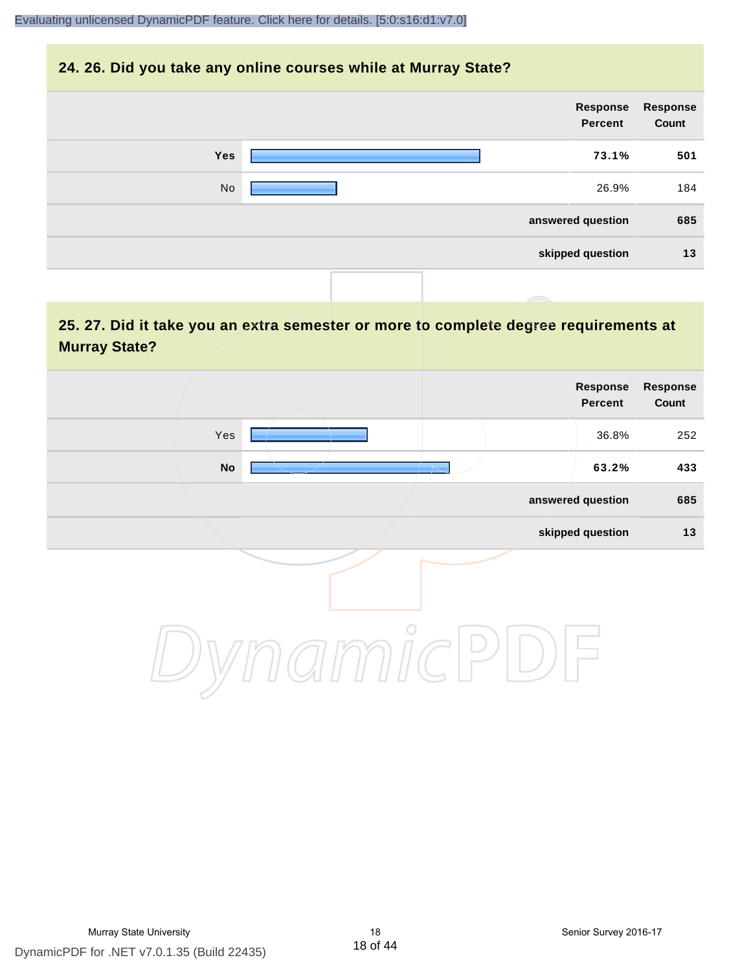## **24. 26. Did you take any online courses while at Murray State?**

| <b>Response</b><br>Count | Response<br>Percent |     |
|--------------------------|---------------------|-----|
| 501                      | 73.1%               | Yes |
| 184                      | 26.9%               | No  |
| 685                      | answered question   |     |
| 13                       | skipped question    |     |
|                          |                     |     |

# **25. 27. Did it take you an extra semester or more to complete degree requirements at Murray State?**

| <b>Response</b><br>Count | Response<br>Percent |         |     |  |
|--------------------------|---------------------|---------|-----|--|
| 252                      | 36.8%               |         | Yes |  |
| 433                      | 63.2%               |         | No  |  |
| 685                      | answered question   |         |     |  |
| $13$                     | skipped question    |         |     |  |
|                          |                     | $\circ$ |     |  |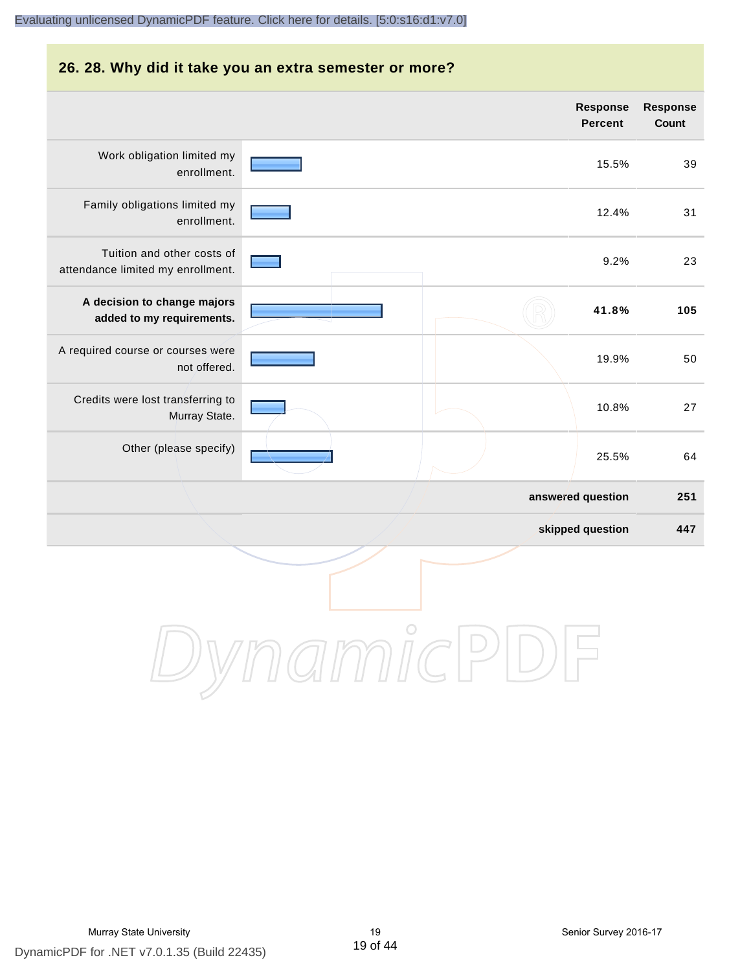# **26. 28. Why did it take you an extra semester or more? Response Response Percent Count** Work obligation limited my 15.5% 39 enrollment. Family obligations limited my 12.4% 31 enrollment. Tuition and other costs of 9.2% 23 attendance limited my enrollment. **A decision to change majors 41.8% 105 added to my requirements.** A required course or courses were 19.9% 50 not offered. Credits were lost transferring to 10.8% 27 Murray State. Other (please specify) 25.5% 64 **answered question 251 skipped question 447** DynamicPDF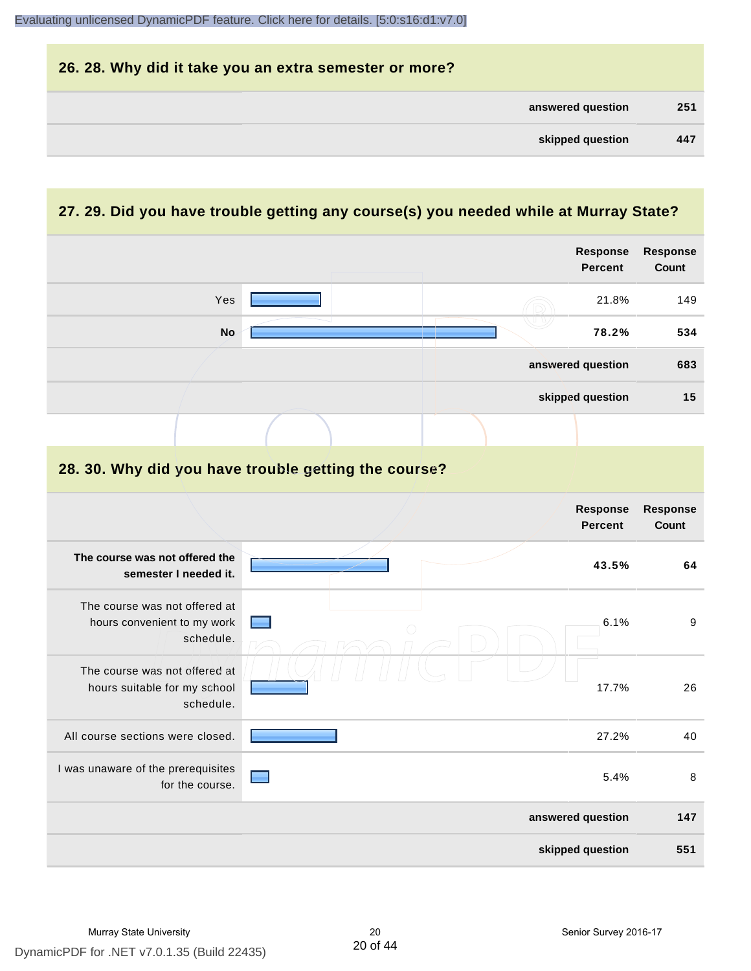| 26. 28. Why did it take you an extra semester or more? |     |
|--------------------------------------------------------|-----|
| answered question                                      | 251 |
| skipped question                                       | 447 |

# **27. 29. Did you have trouble getting any course(s) you needed while at Murray State?**

|                                                                            |  |  | <b>Response</b><br><b>Percent</b> | <b>Response</b><br>Count |
|----------------------------------------------------------------------------|--|--|-----------------------------------|--------------------------|
| Yes                                                                        |  |  | 21.8%                             | 149                      |
| <b>No</b>                                                                  |  |  | 78.2%                             | 534                      |
|                                                                            |  |  | answered question                 | 683                      |
|                                                                            |  |  | skipped question                  | 15                       |
|                                                                            |  |  |                                   |                          |
| 28. 30. Why did you have trouble getting the course?                       |  |  |                                   |                          |
|                                                                            |  |  | <b>Response</b><br><b>Percent</b> | Response<br>Count        |
| The course was not offered the<br>semester I needed it.                    |  |  | 43.5%                             | 64                       |
| The course was not offered at<br>hours convenient to my work<br>schedule.  |  |  | 6.1%                              | 9                        |
| The course was not offered at<br>hours suitable for my school<br>schedule. |  |  | 17.7%                             | 26                       |
| All course sections were closed.                                           |  |  | 27.2%                             | 40                       |
| I was unaware of the prerequisites<br>for the course.                      |  |  | 5.4%                              | 8                        |
|                                                                            |  |  | answered question                 | 147                      |
|                                                                            |  |  | skipped question                  | 551                      |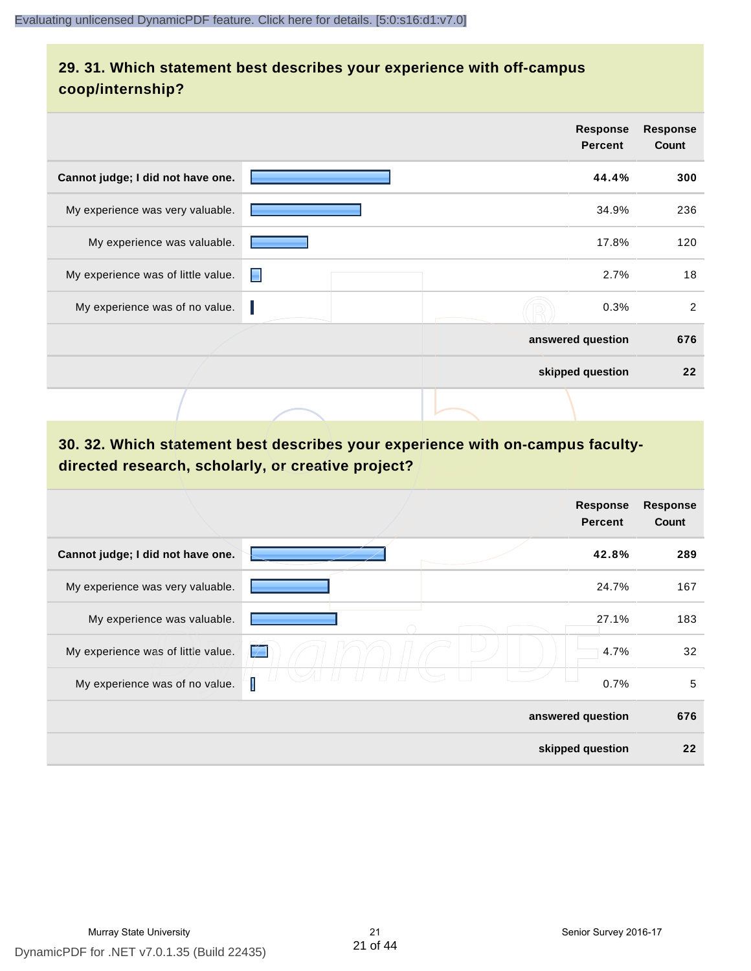# **29. 31. Which statement best describes your experience with off-campus coop/internship?**

|                                    |   | <b>Response</b><br><b>Percent</b> | <b>Response</b><br>Count |
|------------------------------------|---|-----------------------------------|--------------------------|
| Cannot judge; I did not have one.  |   | 44.4%                             | 300                      |
| My experience was very valuable.   |   | 34.9%                             | 236                      |
| My experience was valuable.        |   | 17.8%                             | 120                      |
| My experience was of little value. | Е | 2.7%                              | 18                       |
| My experience was of no value.     |   | 0.3%                              | 2                        |
|                                    |   | answered question                 | 676                      |
|                                    |   | skipped question                  | 22                       |
|                                    |   |                                   |                          |

# **30. 32. Which statement best describes your experience with on-campus facultydirected research, scholarly, or creative project?**

|                                    | <b>Response</b><br><b>Percent</b> | <b>Response</b><br>Count |
|------------------------------------|-----------------------------------|--------------------------|
| Cannot judge; I did not have one.  | 42.8%                             | 289                      |
| My experience was very valuable.   | 24.7%                             | 167                      |
| My experience was valuable.        | 27.1%                             | 183                      |
| My experience was of little value. | 4.7%<br>Ľ                         | 32                       |
| My experience was of no value.     | 0.7%                              | 5                        |
|                                    | answered question                 | 676                      |
|                                    | skipped question                  | 22                       |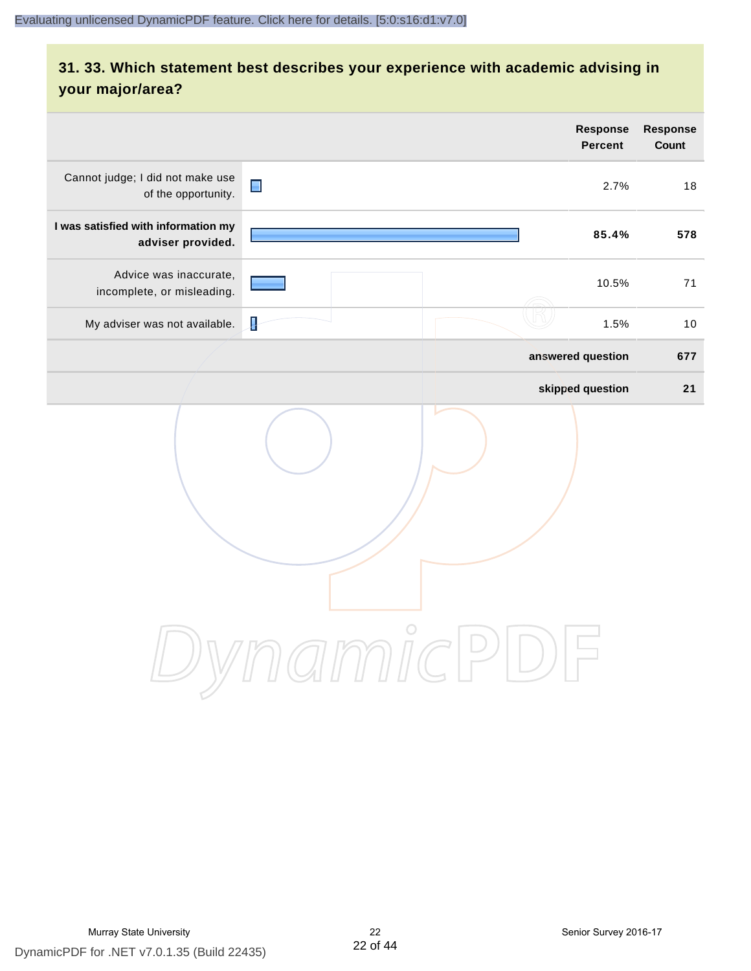# **31. 33. Which statement best describes your experience with academic advising in your major/area?**

|                                                          |                | <b>Response</b><br><b>Percent</b> | Response<br>Count |
|----------------------------------------------------------|----------------|-----------------------------------|-------------------|
| Cannot judge; I did not make use<br>of the opportunity.  | $\blacksquare$ | 2.7%                              | 18                |
| I was satisfied with information my<br>adviser provided. |                | 85.4%                             | 578               |
| Advice was inaccurate,<br>incomplete, or misleading.     |                | 10.5%                             | 71                |
| My adviser was not available.                            | Į              | 1.5%                              | 10                |
|                                                          |                | answered question                 | 677               |
|                                                          |                | skipped question                  | 21                |
|                                                          | amnicl         | $\overset{\smile}{\smile}$        |                   |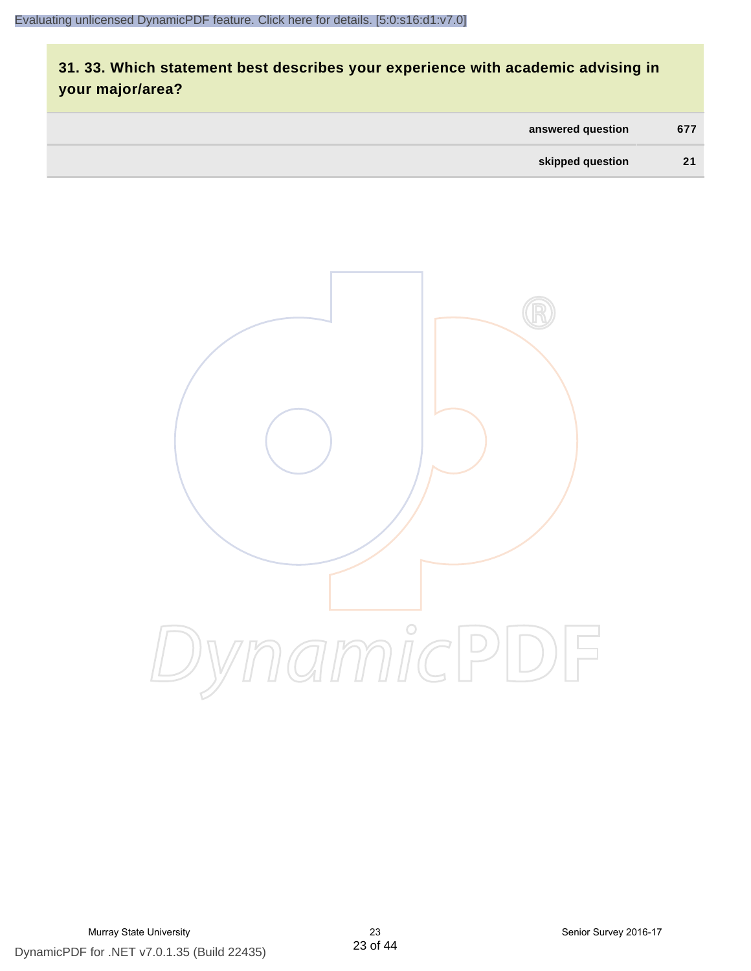# **31. 33. Which statement best describes your experience with academic advising in your major/area?**

| answered question | 677 |
|-------------------|-----|
| skipped question  | 21  |

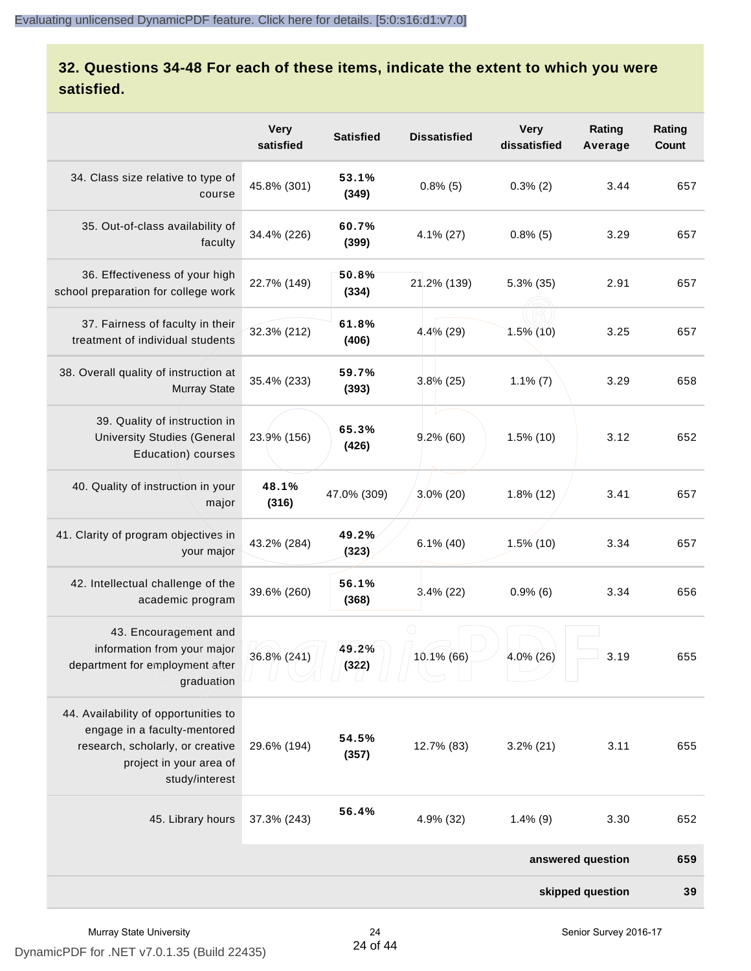# **32. Questions 34-48 For each of these items, indicate the extent to which you were satisfied.**

|                                                                                                                                                       | <b>Very</b><br>satisfied | <b>Satisfied</b> | <b>Dissatisfied</b> | <b>Very</b><br>dissatisfied | Rating<br>Average | Rating<br>Count |
|-------------------------------------------------------------------------------------------------------------------------------------------------------|--------------------------|------------------|---------------------|-----------------------------|-------------------|-----------------|
| 34. Class size relative to type of<br>course                                                                                                          | 45.8% (301)              | 53.1%<br>(349)   | $0.8\%$ (5)         | $0.3\%$ (2)                 | 3.44              | 657             |
| 35. Out-of-class availability of<br>faculty                                                                                                           | 34.4% (226)              | 60.7%<br>(399)   | $4.1\%$ (27)        | $0.8\%$ (5)                 | 3.29              | 657             |
| 36. Effectiveness of your high<br>school preparation for college work                                                                                 | 22.7% (149)              | 50.8%<br>(334)   | 21.2% (139)         | $5.3\%$ (35)                | 2.91              | 657             |
| 37. Fairness of faculty in their<br>treatment of individual students                                                                                  | 32.3% (212)              | 61.8%<br>(406)   | $4.4\%$ (29)        | $1.5\%$ (10)                | 3.25              | 657             |
| 38. Overall quality of instruction at<br><b>Murray State</b>                                                                                          | 35.4% (233)              | 59.7%<br>(393)   | $3.8\%$ (25)        | $1.1\%$ (7)                 | 3.29              | 658             |
| 39. Quality of instruction in<br><b>University Studies (General</b><br>Education) courses                                                             | 23.9% (156)              | 65.3%<br>(426)   | $9.2\%$ (60)        | $1.5\%$ (10)                | 3.12              | 652             |
| 40. Quality of instruction in your<br>major                                                                                                           | 48.1%<br>(316)           | 47.0% (309)      | $3.0\%$ (20)        | $1.8\%$ (12)                | 3.41              | 657             |
| 41. Clarity of program objectives in<br>your major                                                                                                    | 43.2% (284)              | 49.2%<br>(323)   | $6.1\%$ (40)        | $1.5\%$ (10)                | 3.34              | 657             |
| 42. Intellectual challenge of the<br>academic program                                                                                                 | 39.6% (260)              | 56.1%<br>(368)   | $3.4\%$ (22)        | $0.9\%$ (6)                 | 3.34              | 656             |
| 43. Encouragement and<br>information from your major<br>department for employment after<br>graduation                                                 | 36.8% (241)              | 49.2%<br>(322)   | $10.1\%$ (66)       | 4.0% (26)                   | 3.19              | 655             |
| 44. Availability of opportunities to<br>engage in a faculty-mentored<br>research, scholarly, or creative<br>project in your area of<br>study/interest | 29.6% (194)              | 54.5%<br>(357)   | 12.7% (83)          | $3.2\%$ (21)                | 3.11              | 655             |
| 45. Library hours                                                                                                                                     | 37.3% (243)              | 56.4%            | 4.9% (32)           | $1.4\%$ (9)                 | 3.30              | 652             |
|                                                                                                                                                       |                          |                  |                     |                             | answered question | 659             |
|                                                                                                                                                       |                          |                  |                     |                             | skipped question  | 39              |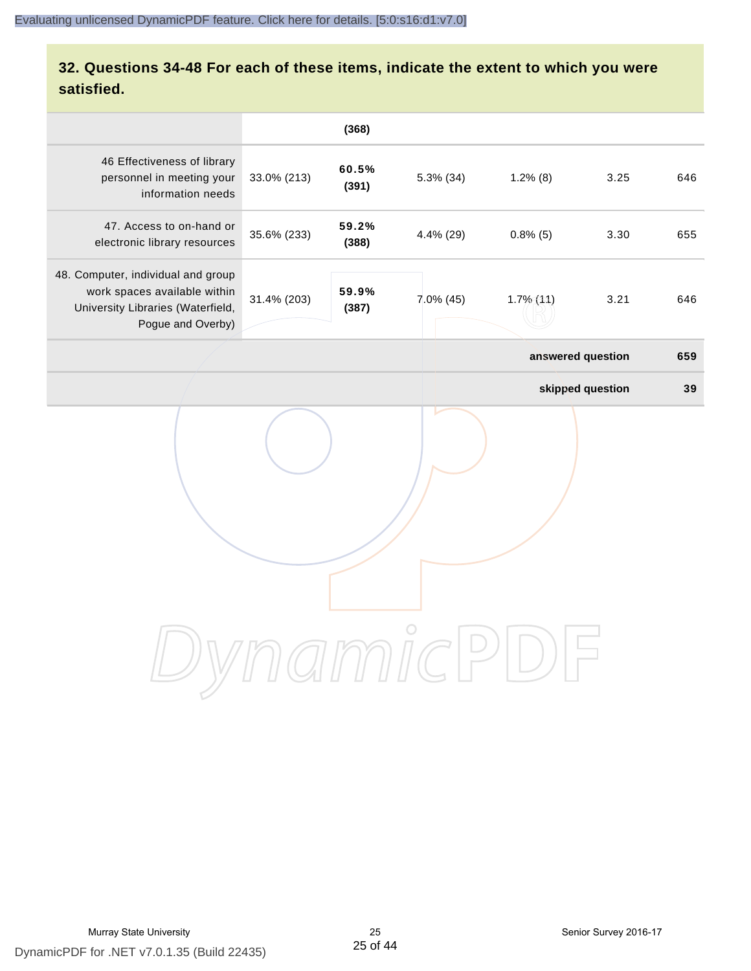# **32. Questions 34-48 For each of these items, indicate the extent to which you were satisfied.**

|                                                                                                                              |             | (368)          |           |                   |                  |     |
|------------------------------------------------------------------------------------------------------------------------------|-------------|----------------|-----------|-------------------|------------------|-----|
| 46 Effectiveness of library<br>personnel in meeting your<br>information needs                                                | 33.0% (213) | 60.5%<br>(391) | 5.3% (34) | $1.2\%$ (8)       | 3.25             | 646 |
| 47. Access to on-hand or<br>electronic library resources                                                                     | 35.6% (233) | 59.2%<br>(388) | 4.4% (29) | $0.8\%$ (5)       | 3.30             | 655 |
| 48. Computer, individual and group<br>work spaces available within<br>University Libraries (Waterfield,<br>Pogue and Overby) | 31.4% (203) | 59.9%<br>(387) | 7.0% (45) | $1.7\%$ (11)      | 3.21             | 646 |
|                                                                                                                              |             |                |           | answered question |                  | 659 |
|                                                                                                                              |             |                |           |                   | skipped question | 39  |
|                                                                                                                              |             | l man l        |           |                   |                  |     |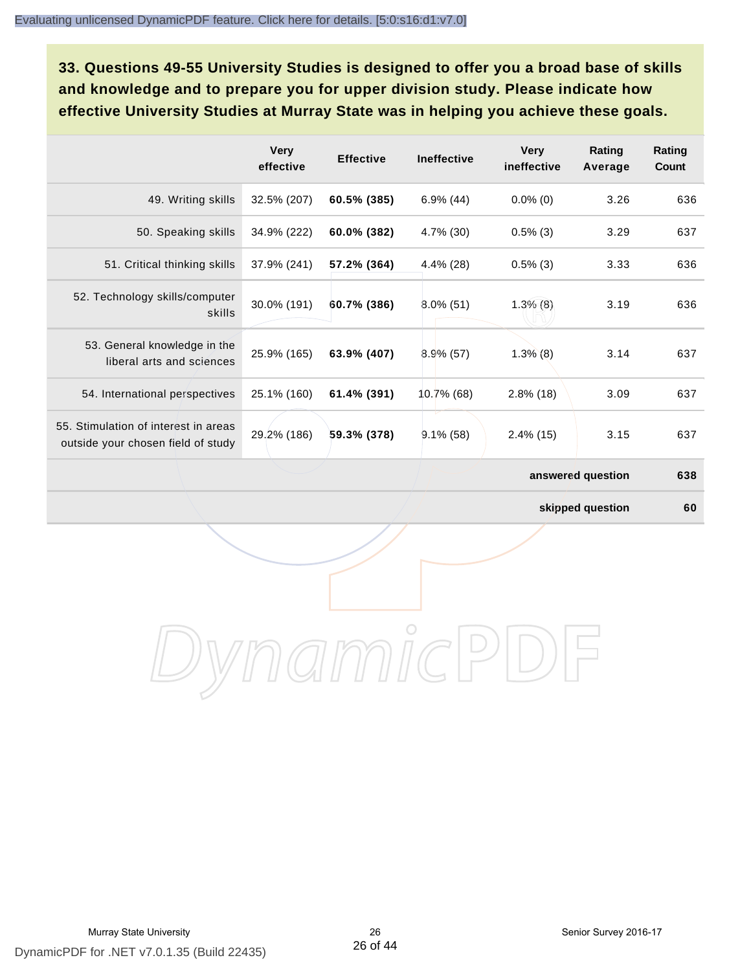**33. Questions 49-55 University Studies is designed to offer you a broad base of skills and knowledge and to prepare you for upper division study. Please indicate how effective University Studies at Murray State was in helping you achieve these goals.**

|                                                                            | <b>Very</b><br>effective | <b>Effective</b> | <b>Ineffective</b> | <b>Very</b><br>ineffective | Rating<br>Average | Rating<br>Count |
|----------------------------------------------------------------------------|--------------------------|------------------|--------------------|----------------------------|-------------------|-----------------|
| 49. Writing skills                                                         | 32.5% (207)              | 60.5% (385)      | $6.9\%$ (44)       | $0.0\%$ (0)                | 3.26              | 636             |
| 50. Speaking skills                                                        | 34.9% (222)              | 60.0% (382)      | 4.7% (30)          | $0.5\%$ (3)                | 3.29              | 637             |
| 51. Critical thinking skills                                               | 37.9% (241)              | 57.2% (364)      | 4.4% (28)          | $0.5\%$ (3)                | 3.33              | 636             |
| 52. Technology skills/computer<br>skills                                   | 30.0% (191)              | 60.7% (386)      | $8.0\%$ (51)       | $1.3\%$ (8)                | 3.19              | 636             |
| 53. General knowledge in the<br>liberal arts and sciences                  | 25.9% (165)              | 63.9% (407)      | $8.9\%$ (57)       | $1.3\%$ (8)                | 3.14              | 637             |
| 54. International perspectives                                             | 25.1% (160)              | 61.4% (391)      | 10.7% (68)         | $2.8\%$ (18)               | 3.09              | 637             |
| 55. Stimulation of interest in areas<br>outside your chosen field of study | 29.2% (186)              | 59.3% (378)      | $9.1\%$ (58)       | $2.4\%$ (15)               | 3.15              | 637             |
|                                                                            |                          |                  |                    |                            | answered question | 638             |

**skipped question 60**

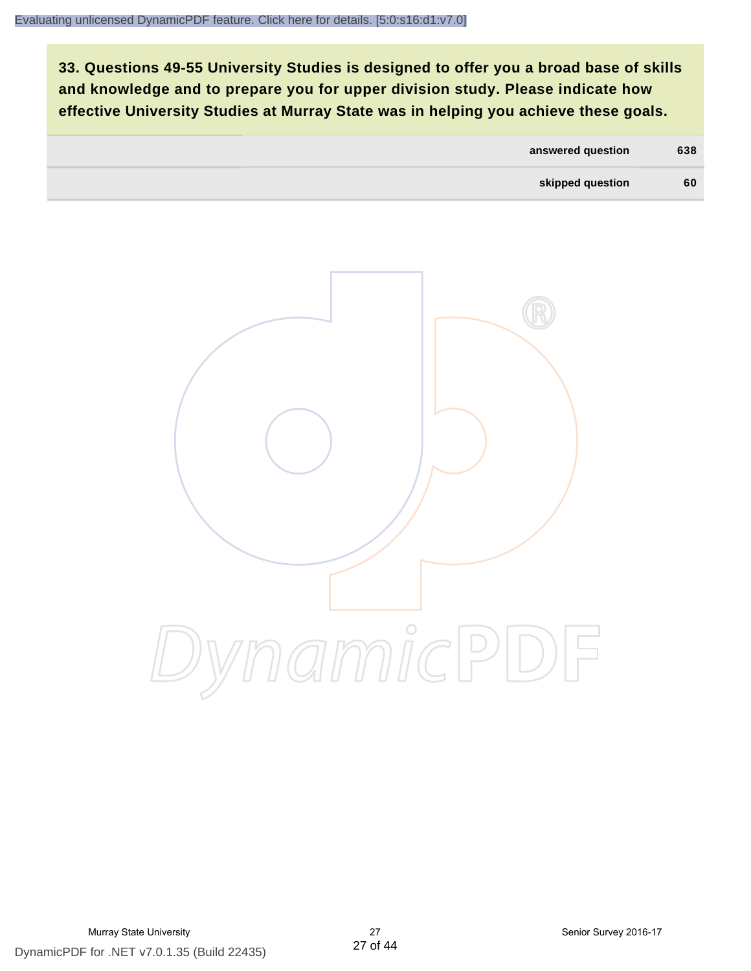**33. Questions 49-55 University Studies is designed to offer you a broad base of skills and knowledge and to prepare you for upper division study. Please indicate how effective University Studies at Murray State was in helping you achieve these goals.**

| 60<br>skipped question | 638 | answered question |  |
|------------------------|-----|-------------------|--|
|                        |     |                   |  |

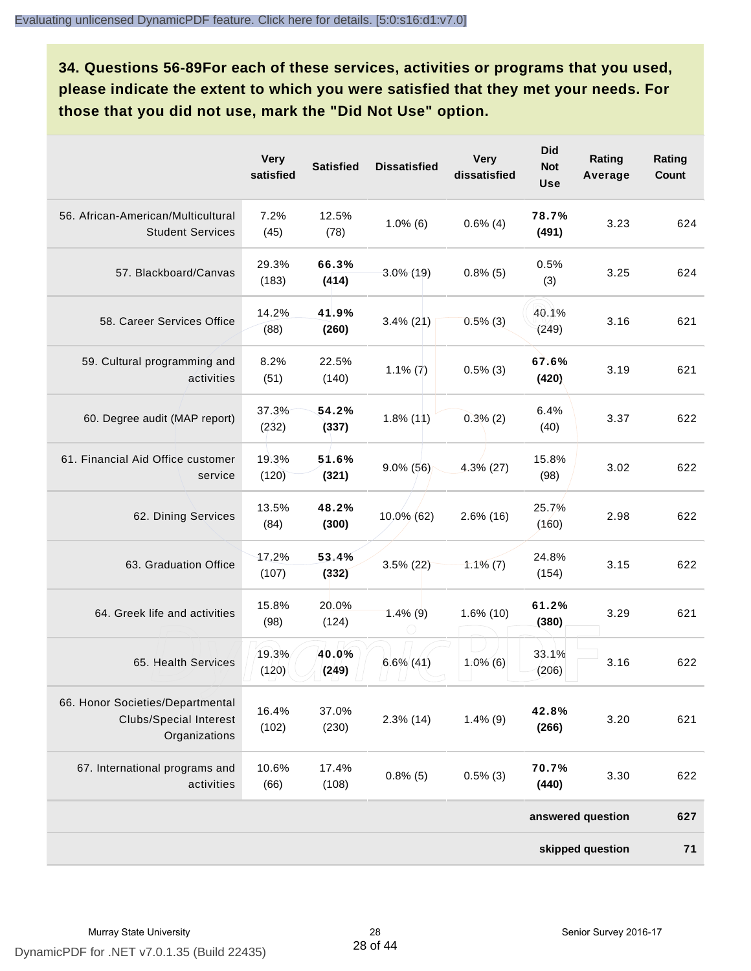**34. Questions 56-89For each of these services, activities or programs that you used, please indicate the extent to which you were satisfied that they met your needs. For those that you did not use, mark the "Did Not Use" option.**

|                                                                                    | <b>Very</b><br>satisfied | <b>Satisfied</b> | <b>Dissatisfied</b> | <b>Very</b><br>dissatisfied | <b>Did</b><br><b>Not</b><br><b>Use</b> | Rating<br>Average | Rating<br>Count |
|------------------------------------------------------------------------------------|--------------------------|------------------|---------------------|-----------------------------|----------------------------------------|-------------------|-----------------|
| 56. African-American/Multicultural<br><b>Student Services</b>                      | 7.2%<br>(45)             | 12.5%<br>(78)    | $1.0\%$ (6)         | $0.6\%$ (4)                 | 78.7%<br>(491)                         | 3.23              | 624             |
| 57. Blackboard/Canvas                                                              | 29.3%<br>(183)           | 66.3%<br>(414)   | $3.0\%$ (19)        | $0.8\%$ (5)                 | 0.5%<br>(3)                            | 3.25              | 624             |
| 58. Career Services Office                                                         | 14.2%<br>(88)            | 41.9%<br>(260)   | $3.4\%$ (21)        | $0.5\%$ (3)                 | 40.1%<br>(249)                         | 3.16              | 621             |
| 59. Cultural programming and<br>activities                                         | 8.2%<br>(51)             | 22.5%<br>(140)   | $1.1\%$ (7)         | $0.5\%$ (3)                 | 67.6%<br>(420)                         | 3.19              | 621             |
| 60. Degree audit (MAP report)                                                      | 37.3%<br>(232)           | 54.2%<br>(337)   | $1.8\%$ (11)        | $0.3\%$ (2)                 | 6.4%<br>(40)                           | 3.37              | 622             |
| 61. Financial Aid Office customer<br>service                                       | 19.3%<br>(120)           | 51.6%<br>(321)   | $9.0\%$ (56)        | $4.3\%$ (27)                | 15.8%<br>(98)                          | 3.02              | 622             |
| 62. Dining Services                                                                | 13.5%<br>(84)            | 48.2%<br>(300)   | 10.0% (62)          | $2.6\%$ (16)                | 25.7%<br>(160)                         | 2.98              | 622             |
| 63. Graduation Office                                                              | 17.2%<br>(107)           | 53.4%<br>(332)   | $3.5\%$ (22)        | $1.1\%$ (7)                 | 24.8%<br>(154)                         | 3.15              | 622             |
| 64. Greek life and activities                                                      | 15.8%<br>(98)            | 20.0%<br>(124)   | $1.4\%$ (9)         | 1.6% (10)                   | 61.2%<br>(380)                         | 3.29              | 621             |
| 65. Health Services                                                                | 19.3%<br>(120)           | 40.0%<br>(249)   | $6.6\%$ (41)        | $1.0\%$ (6)                 | 33.1%<br>(206)                         | 3.16              | 622             |
| 66. Honor Societies/Departmental<br><b>Clubs/Special Interest</b><br>Organizations | 16.4%<br>(102)           | 37.0%<br>(230)   | $2.3\%$ (14)        | $1.4\%$ (9)                 | 42.8%<br>(266)                         | 3.20              | 621             |
| 67. International programs and<br>activities                                       | 10.6%<br>(66)            | 17.4%<br>(108)   | $0.8\%$ (5)         | $0.5\%$ (3)                 | 70.7%<br>(440)                         | 3.30              | 622             |
|                                                                                    |                          |                  |                     |                             |                                        | answered question | 627             |
|                                                                                    |                          |                  |                     |                             |                                        | skipped question  | 71              |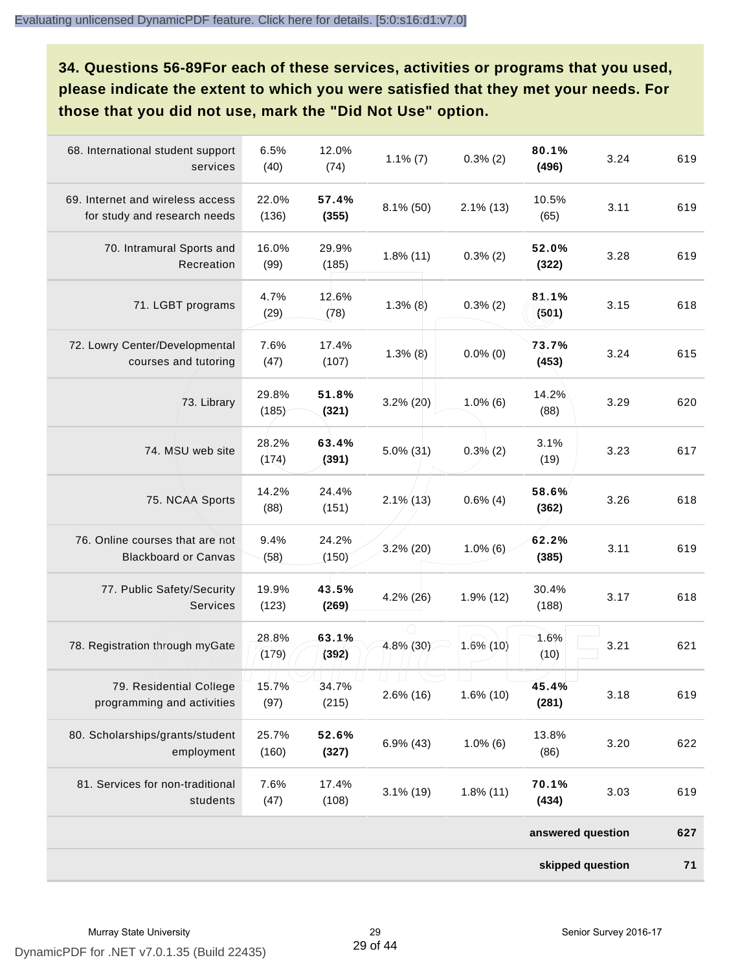**34. Questions 56-89For each of these services, activities or programs that you used, please indicate the extent to which you were satisfied that they met your needs. For those that you did not use, mark the "Did Not Use" option.**

| 68. International student support<br>services                    | 6.5%<br>(40)   | 12.0%<br>(74)  | $1.1\%$ (7)  | $0.3\%$ (2)  | 80.1%<br>(496)    | 3.24 | 619 |
|------------------------------------------------------------------|----------------|----------------|--------------|--------------|-------------------|------|-----|
| 69. Internet and wireless access<br>for study and research needs | 22.0%<br>(136) | 57.4%<br>(355) | $8.1\%$ (50) | $2.1\%$ (13) | 10.5%<br>(65)     | 3.11 | 619 |
| 70. Intramural Sports and<br>Recreation                          | 16.0%<br>(99)  | 29.9%<br>(185) | $1.8\%$ (11) | $0.3\%$ (2)  | 52.0%<br>(322)    | 3.28 | 619 |
| 71. LGBT programs                                                | 4.7%<br>(29)   | 12.6%<br>(78)  | $1.3%$ (8)   | $0.3\%$ (2)  | 81.1%<br>(501)    | 3.15 | 618 |
| 72. Lowry Center/Developmental<br>courses and tutoring           | 7.6%<br>(47)   | 17.4%<br>(107) | $1.3\%$ (8)  | $0.0\%$ (0)  | 73.7%<br>(453)    | 3.24 | 615 |
| 73. Library                                                      | 29.8%<br>(185) | 51.8%<br>(321) | $3.2\%$ (20) | $1.0\%$ (6)  | 14.2%<br>(88)     | 3.29 | 620 |
| 74. MSU web site                                                 | 28.2%<br>(174) | 63.4%<br>(391) | $5.0\%$ (31) | $0.3\%$ (2)  | 3.1%<br>(19)      | 3.23 | 617 |
| 75. NCAA Sports                                                  | 14.2%<br>(88)  | 24.4%<br>(151) | $2.1\%$ (13) | $0.6\%$ (4)  | 58.6%<br>(362)    | 3.26 | 618 |
| 76. Online courses that are not<br><b>Blackboard or Canvas</b>   | 9.4%<br>(58)   | 24.2%<br>(150) | $3.2\%$ (20) | $1.0\%$ (6)  | 62.2%<br>(385)    | 3.11 | 619 |
| 77. Public Safety/Security<br>Services                           | 19.9%<br>(123) | 43.5%<br>(269) | $4.2\%$ (26) | 1.9% (12)    | 30.4%<br>(188)    | 3.17 | 618 |
| 78. Registration through myGate                                  | 28.8%<br>(179) | 63.1%<br>(392) | 4.8% (30)    | $1.6\%$ (10) | 1.6%<br>(10)      | 3.21 | 621 |
| 79. Residential College<br>programming and activities            | 15.7%<br>(97)  | 34.7%<br>(215) | $2.6\%$ (16) | 1.6% (10)    | 45.4%<br>(281)    | 3.18 | 619 |
| 80. Scholarships/grants/student<br>employment                    | 25.7%<br>(160) | 52.6%<br>(327) | $6.9\%$ (43) | $1.0\%$ (6)  | 13.8%<br>(86)     | 3.20 | 622 |
| 81. Services for non-traditional<br>students                     | 7.6%<br>(47)   | 17.4%<br>(108) | $3.1\%$ (19) | $1.8\%$ (11) | 70.1%<br>(434)    | 3.03 | 619 |
|                                                                  |                |                |              |              | answered question |      | 627 |
|                                                                  |                |                |              |              | skipped question  |      | 71  |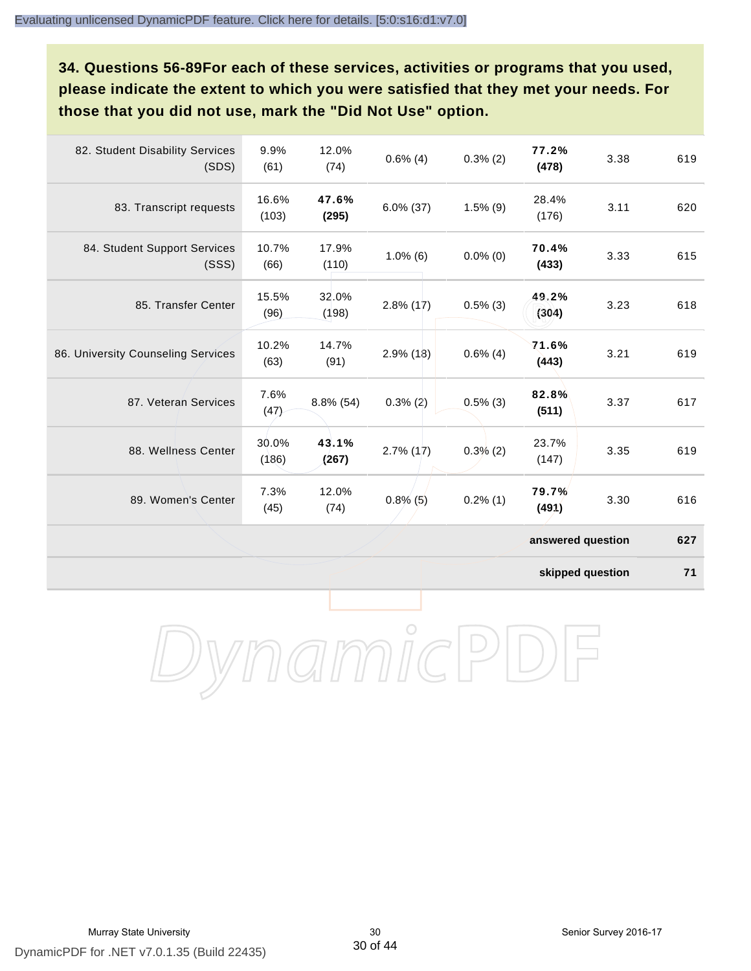**34. Questions 56-89For each of these services, activities or programs that you used, please indicate the extent to which you were satisfied that they met your needs. For those that you did not use, mark the "Did Not Use" option.**

| 82. Student Disability Services<br>(SDS) | 9.9%<br>(61)   | 12.0%<br>(74)  | $0.6\%$ (4)  | $0.3\%$ (2) | 77.2%<br>(478)    | 3.38 | 619 |
|------------------------------------------|----------------|----------------|--------------|-------------|-------------------|------|-----|
| 83. Transcript requests                  | 16.6%<br>(103) | 47.6%<br>(295) | $6.0\%$ (37) | $1.5\%$ (9) | 28.4%<br>(176)    | 3.11 | 620 |
| 84. Student Support Services<br>(SSS)    | 10.7%<br>(66)  | 17.9%<br>(110) | $1.0\%$ (6)  | $0.0\%$ (0) | 70.4%<br>(433)    | 3.33 | 615 |
| 85. Transfer Center                      | 15.5%<br>(96)  | 32.0%<br>(198) | $2.8\%$ (17) | $0.5\%$ (3) | 49.2%<br>(304)    | 3.23 | 618 |
| 86. University Counseling Services       | 10.2%<br>(63)  | 14.7%<br>(91)  | $2.9\%$ (18) | $0.6\%$ (4) | 71.6%<br>(443)    | 3.21 | 619 |
| 87. Veteran Services                     | 7.6%<br>(47)   | $8.8\%$ (54)   | $0.3\%$ (2)  | $0.5\%$ (3) | 82.8%<br>(511)    | 3.37 | 617 |
| 88. Wellness Center                      | 30.0%<br>(186) | 43.1%<br>(267) | $2.7\%$ (17) | $0.3\%$ (2) | 23.7%<br>(147)    | 3.35 | 619 |
| 89. Women's Center                       | 7.3%<br>(45)   | 12.0%<br>(74)  | $0.8\%$ (5)  | $0.2\%$ (1) | 79.7%<br>(491)    | 3.30 | 616 |
|                                          |                |                |              |             | answered question |      | 627 |

**skipped question 71**

DynamicPDF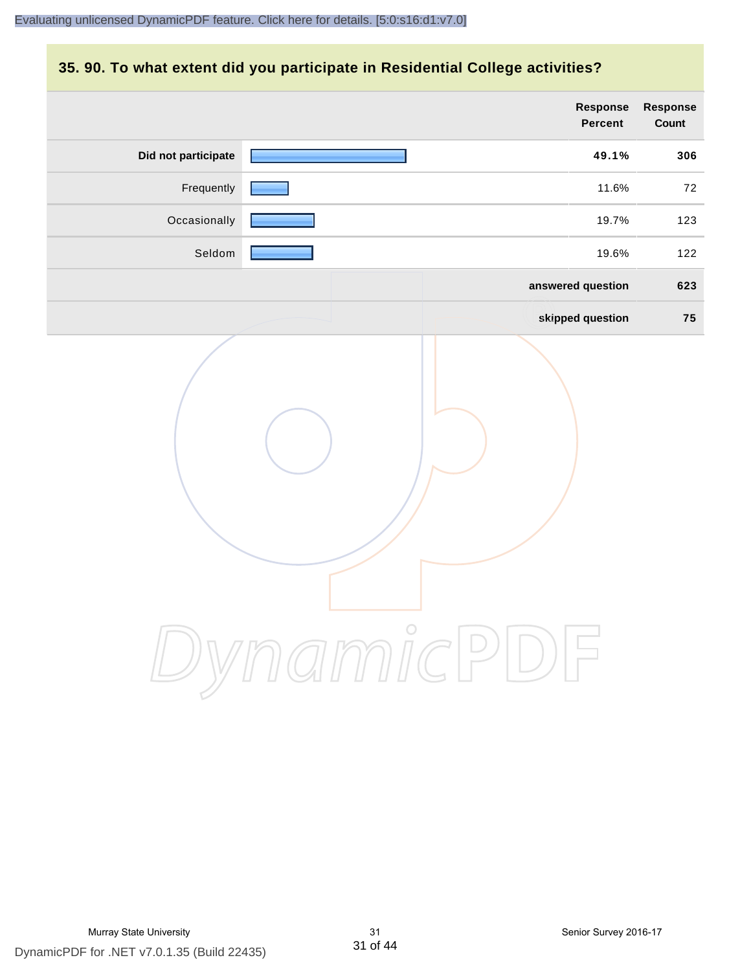# **35. 90. To what extent did you participate in Residential College activities?**

|                     | Response<br>Percent | Response<br>Count |
|---------------------|---------------------|-------------------|
| Did not participate | 49.1%               | 306               |
| Frequently          | 11.6%               | 72                |
| Occasionally        | 19.7%               | 123               |
| Seldom              | 19.6%               | 122               |
|                     | answered question   | 623               |
|                     | skipped question    | 75                |
|                     | mamicPD             |                   |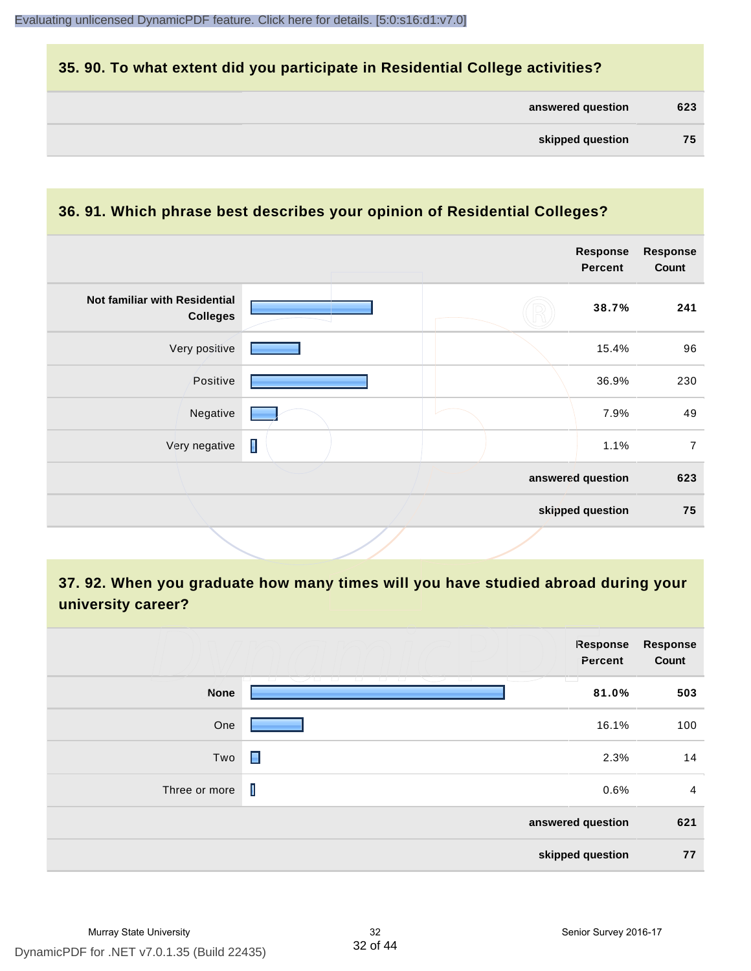# **35. 90. To what extent did you participate in Residential College activities?**

| answered question |  | 623 |
|-------------------|--|-----|
|-------------------|--|-----|

# **36. 91. Which phrase best describes your opinion of Residential Colleges?**

|                                                  |                | <b>Response</b><br>Percent | <b>Response</b><br>Count |
|--------------------------------------------------|----------------|----------------------------|--------------------------|
| Not familiar with Residential<br><b>Colleges</b> |                | 38.7%                      | 241                      |
| Very positive                                    |                | 15.4%                      | 96                       |
| Positive                                         |                | 36.9%                      | 230                      |
| Negative                                         |                | 7.9%                       | 49                       |
| Very negative                                    | $\blacksquare$ | 1.1%                       | $\overline{7}$           |
|                                                  |                | answered question          | 623                      |
|                                                  |                | skipped question           | 75                       |
|                                                  |                |                            |                          |

# **37. 92. When you graduate how many times will you have studied abroad during your university career?**

|               | Response<br>Percent                                                                          | <b>Response</b><br>Count |
|---------------|----------------------------------------------------------------------------------------------|--------------------------|
| <b>None</b>   | <b>TELEVISION</b><br><u>Wandi</u><br>and a bar<br>- 133<br>- 1 - 1 -<br>The Control<br>81.0% | 503                      |
| One           | 16.1%                                                                                        | 100                      |
| Two           | П<br>2.3%                                                                                    | 14                       |
| Three or more | I<br>0.6%                                                                                    | $\overline{4}$           |
|               | answered question                                                                            | 621                      |
|               | skipped question                                                                             | 77                       |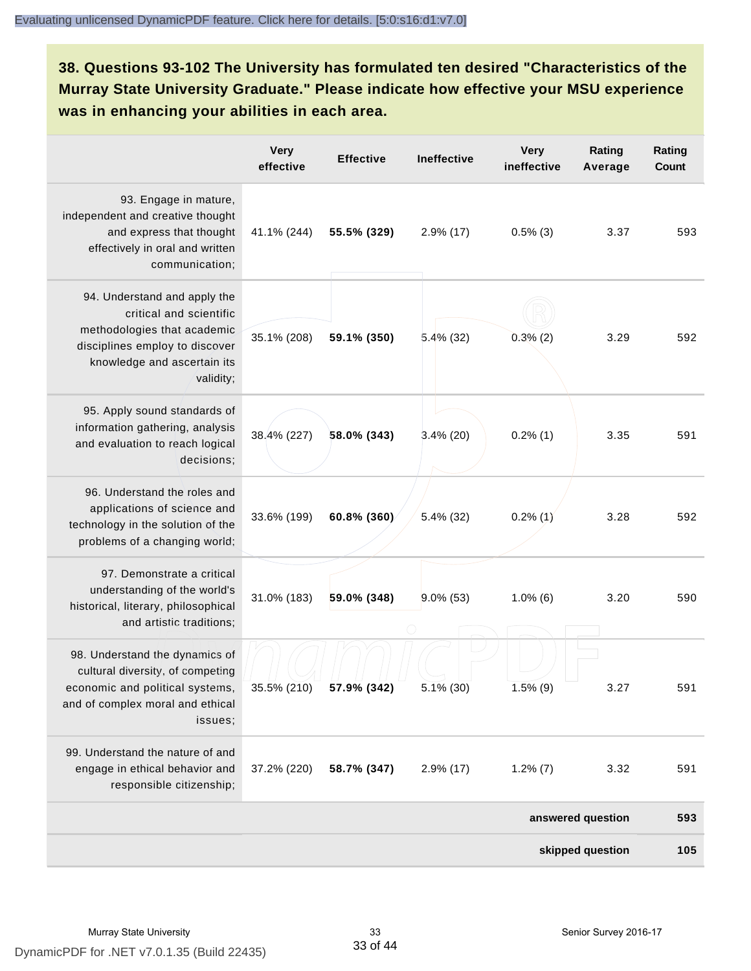**38. Questions 93-102 The University has formulated ten desired "Characteristics of the Murray State University Graduate." Please indicate how effective your MSU experience was in enhancing your abilities in each area.**

|                                                                                                                                                                      | <b>Very</b><br>effective | <b>Effective</b>        | <b>Ineffective</b> | <b>Very</b><br>ineffective | Rating<br>Average | Rating<br>Count |
|----------------------------------------------------------------------------------------------------------------------------------------------------------------------|--------------------------|-------------------------|--------------------|----------------------------|-------------------|-----------------|
| 93. Engage in mature,<br>independent and creative thought<br>and express that thought<br>effectively in oral and written<br>communication;                           | 41.1% (244)              | 55.5% (329)             | $2.9\%$ (17)       | $0.5\%$ (3)                | 3.37              | 593             |
| 94. Understand and apply the<br>critical and scientific<br>methodologies that academic<br>disciplines employ to discover<br>knowledge and ascertain its<br>validity; | 35.1% (208)              | 59.1% (350)             | $5.4\%$ (32)       | 0.3%(2)                    | 3.29              | 592             |
| 95. Apply sound standards of<br>information gathering, analysis<br>and evaluation to reach logical<br>decisions;                                                     | 38.4% (227)              | 58.0% (343)             | $3.4\%$ (20)       | $0.2\%$ (1)                | 3.35              | 591             |
| 96. Understand the roles and<br>applications of science and<br>technology in the solution of the<br>problems of a changing world;                                    | 33.6% (199)              | 60.8% (360)             | 5.4% (32)          | $0.2\%$ (1)                | 3.28              | 592             |
| 97. Demonstrate a critical<br>understanding of the world's<br>historical, literary, philosophical<br>and artistic traditions;                                        | 31.0% (183)              | 59.0% (348)             | $9.0\%$ (53)       | $1.0\%$ (6)                | 3.20              | 590             |
| 98. Understand the dynamics of<br>cultural diversity, of competing<br>economic and political systems,<br>and of complex moral and ethical<br>issues;                 |                          | 35.5% (210) 57.9% (342) | $5.1\%$ (30)       | $1.5\%$ (9)                | 3.27              | 591             |
| 99. Understand the nature of and<br>engage in ethical behavior and<br>responsible citizenship;                                                                       | 37.2% (220)              | 58.7% (347)             | $2.9\%$ (17)       | $1.2\%$ (7)                | 3.32              | 591             |
|                                                                                                                                                                      |                          |                         |                    |                            | answered question | 593             |
|                                                                                                                                                                      |                          |                         |                    |                            | skipped question  | 105             |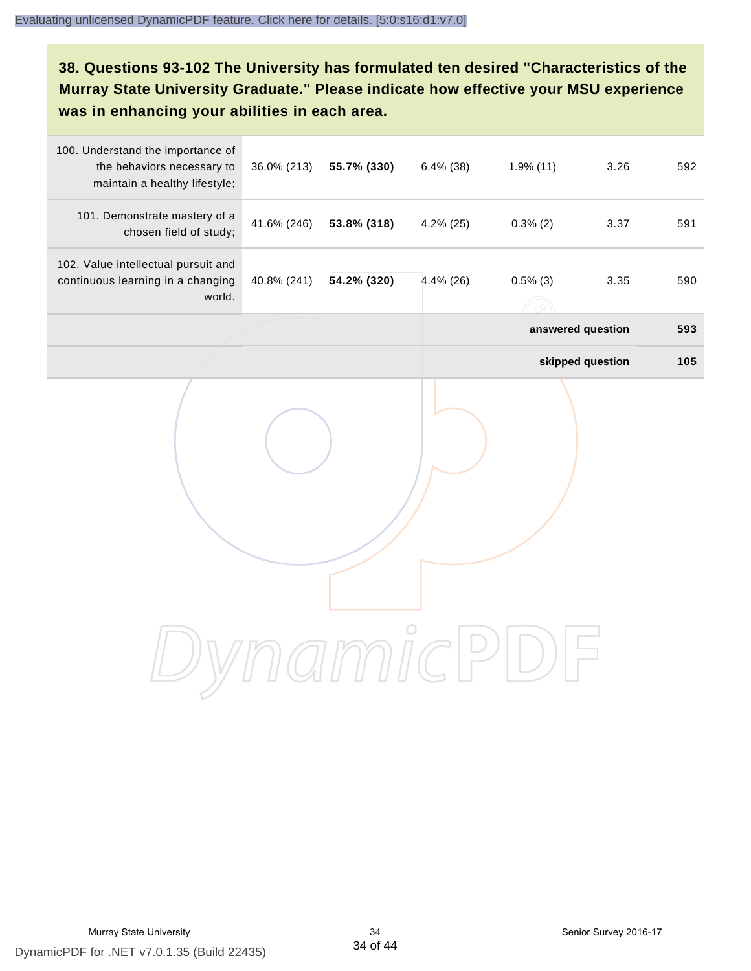# **38. Questions 93-102 The University has formulated ten desired "Characteristics of the Murray State University Graduate." Please indicate how effective your MSU experience was in enhancing your abilities in each area.**

| 100. Understand the importance of<br>the behaviors necessary to<br>maintain a healthy lifestyle; | 36.0% (213) | 55.7% (330) | $6.4\%$ (38) | 1.9%(11)          | 3.26             | 592 |  |  |
|--------------------------------------------------------------------------------------------------|-------------|-------------|--------------|-------------------|------------------|-----|--|--|
| 101. Demonstrate mastery of a<br>chosen field of study;                                          | 41.6% (246) | 53.8% (318) | $4.2\%$ (25) | $0.3\%$ (2)       | 3.37             | 591 |  |  |
| 102. Value intellectual pursuit and<br>continuous learning in a changing<br>world.               | 40.8% (241) | 54.2% (320) | $4.4\%$ (26) | $0.5\%$ (3)       | 3.35             | 590 |  |  |
|                                                                                                  |             |             |              | answered question |                  | 593 |  |  |
|                                                                                                  |             |             |              |                   | skipped question | 105 |  |  |
|                                                                                                  |             |             |              |                   |                  |     |  |  |
|                                                                                                  |             |             |              |                   |                  |     |  |  |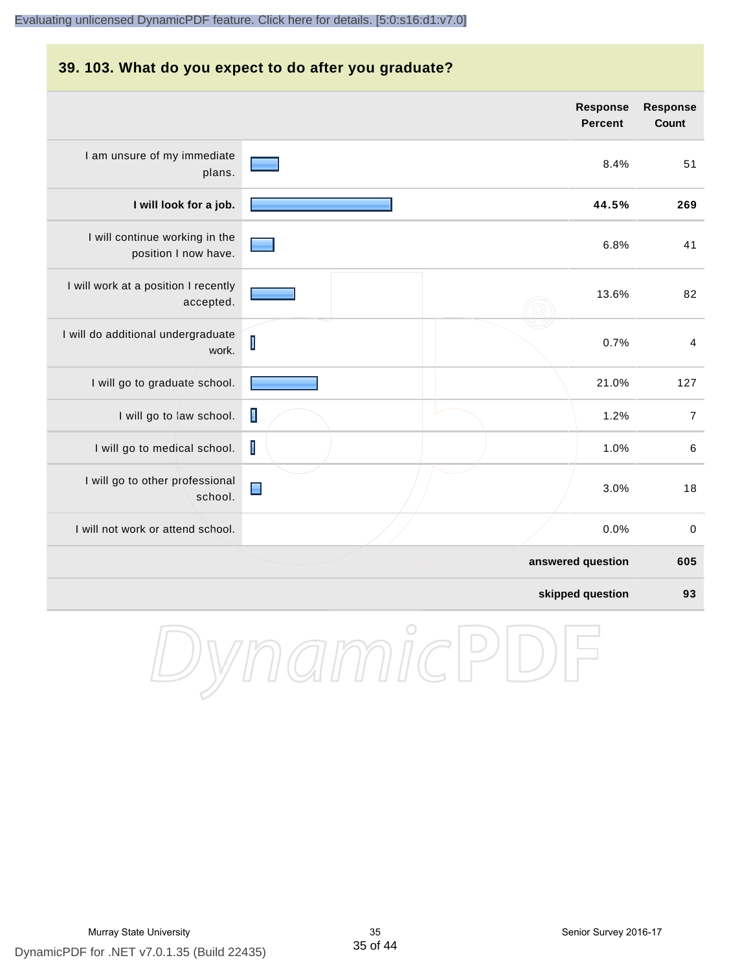# **39. 103. What do you expect to do after you graduate? Response Response Percent Count** I am unsure of my immediate 8.4% 51 plans. **I will look for a job. 44.5% 269** I will continue working in the 6.8% 41 position I now have. I will work at a position I recently 13.6% 82 accepted. I will do additional undergraduate  $\overline{\mathsf{I}}$ 0.7% 4 work. I will go to graduate school. **21.0%** 127 I will go to law school.  $\Box$ I will go to medical school. 1.0% 6 I will go to other professional  $\blacksquare$ 3.0% 18 school. I will not work or attend school. 0.0% 0 **answered question 605 skipped question 93**

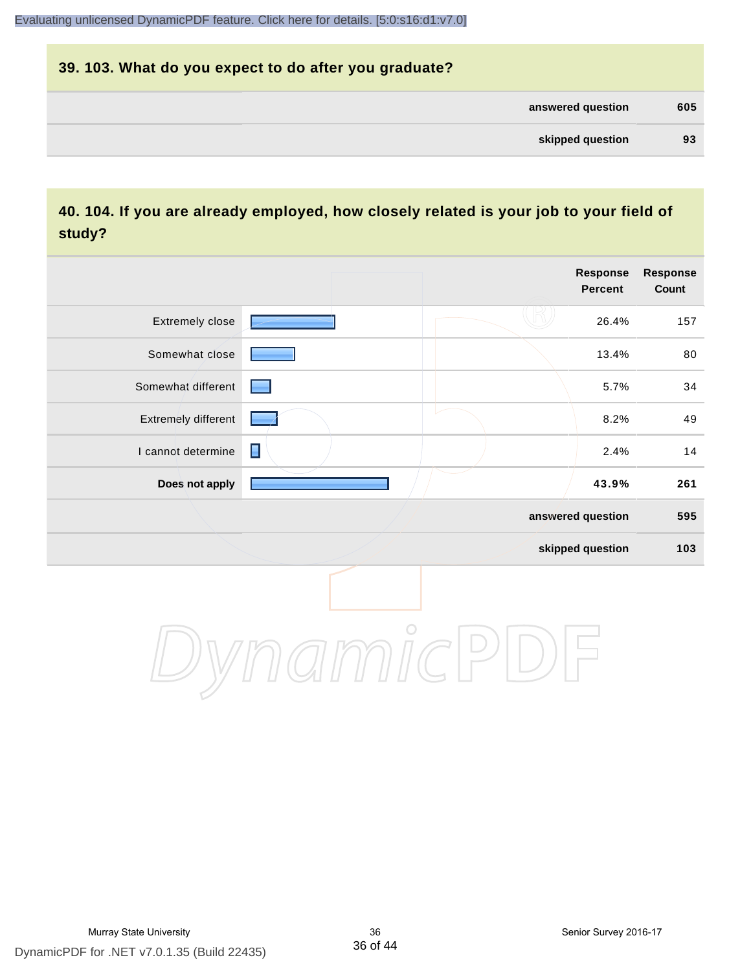| 39. 103. What do you expect to do after you graduate? |     |
|-------------------------------------------------------|-----|
| answered question                                     | 605 |
| skipped question                                      | 93  |

# **40. 104. If you are already employed, how closely related is your job to your field of study?**

|                     |                | <b>Response</b><br><b>Percent</b> | Response<br>Count |
|---------------------|----------------|-----------------------------------|-------------------|
| Extremely close     |                | 26.4%                             | 157               |
| Somewhat close      |                | 13.4%                             | 80                |
| Somewhat different  |                | 5.7%                              | 34                |
| Extremely different |                | 8.2%                              | 49                |
| I cannot determine  | $\blacksquare$ | 2.4%                              | 14                |
| Does not apply      |                | 43.9%                             | 261               |
|                     |                | answered question                 | 595               |
|                     |                | skipped question                  | 103               |
|                     | $\bigcirc$     |                                   |                   |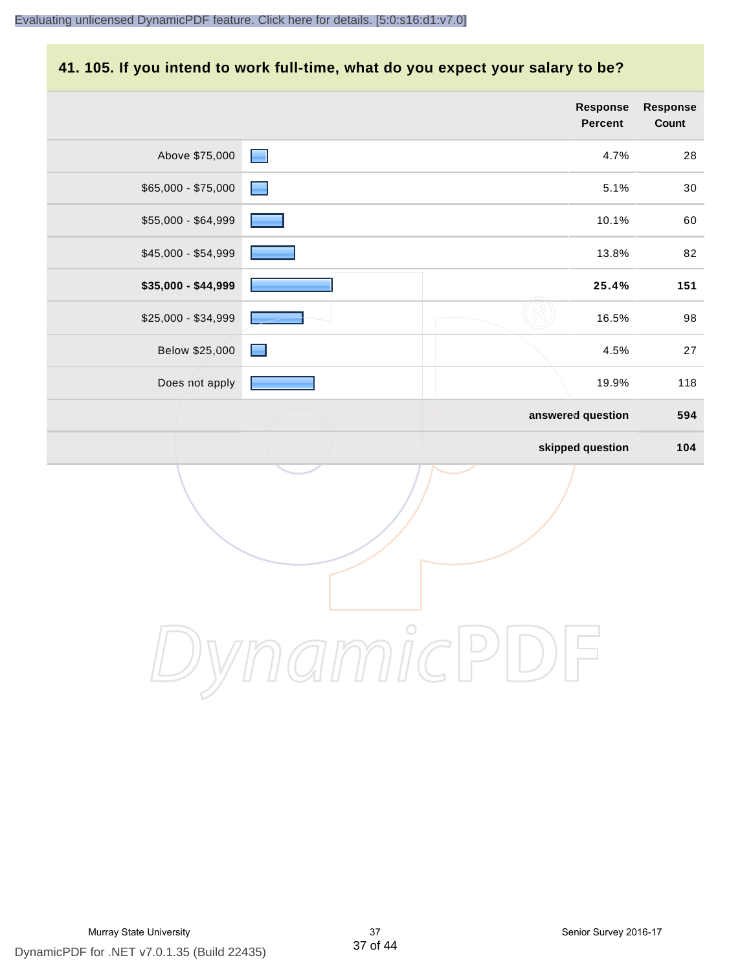# **41. 105. If you intend to work full-time, what do you expect your salary to be?**

|                     |                | <b>Response</b><br>Percent | Response<br>Count |
|---------------------|----------------|----------------------------|-------------------|
| Above \$75,000      | $\blacksquare$ | 4.7%                       | 28                |
| \$65,000 - \$75,000 | ▀              | 5.1%                       | 30                |
| \$55,000 - \$64,999 |                | 10.1%                      | 60                |
| \$45,000 - \$54,999 |                | 13.8%                      | 82                |
| \$35,000 - \$44,999 |                | 25.4%                      | 151               |
| \$25,000 - \$34,999 |                | 16.5%                      | 98                |
| Below \$25,000      | <u>Fil</u>     | 4.5%                       | 27                |
| Does not apply      |                | 19.9%                      | 118               |
|                     |                | answered question          | 594               |
|                     |                | skipped question           | 104               |
|                     |                |                            |                   |
|                     | $\bigcirc$     |                            |                   |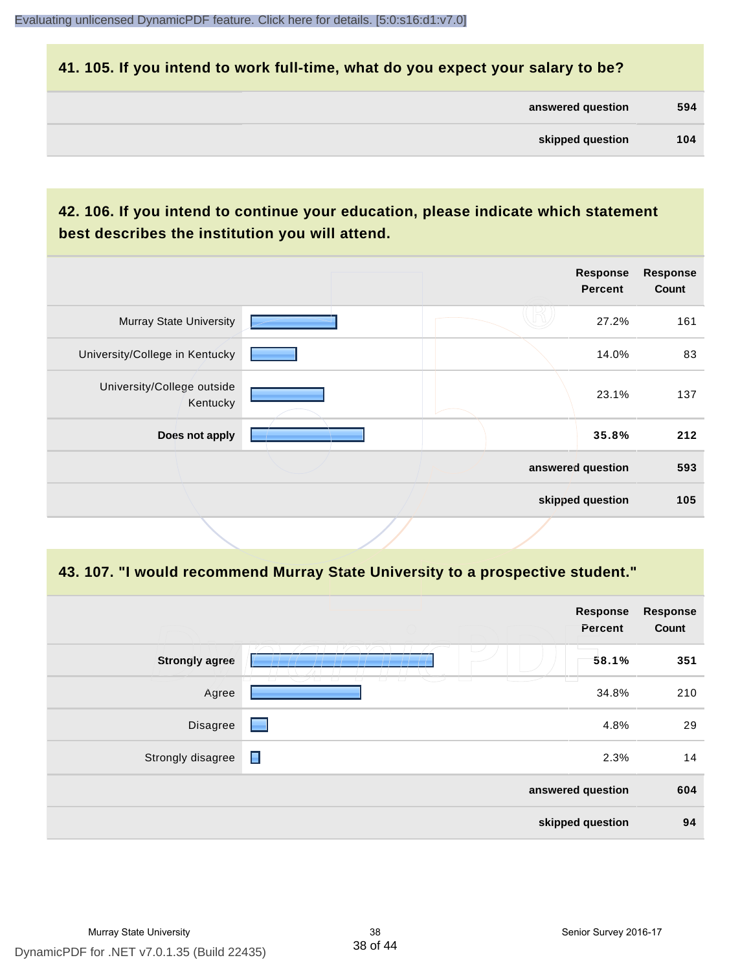# **41. 105. If you intend to work full-time, what do you expect your salary to be?**

| answered question | 594 |
|-------------------|-----|
|                   |     |

| skipped question | 104 |
|------------------|-----|
|                  |     |

# **42. 106. If you intend to continue your education, please indicate which statement best describes the institution you will attend.**

|                                        |                   | <b>Response</b><br><b>Percent</b> | <b>Response</b><br>Count |
|----------------------------------------|-------------------|-----------------------------------|--------------------------|
| <b>Murray State University</b>         |                   | 27.2%                             | 161                      |
| University/College in Kentucky         |                   | 14.0%                             | 83                       |
| University/College outside<br>Kentucky |                   | 23.1%                             | 137                      |
| Does not apply                         |                   | 35.8%                             | 212                      |
|                                        | answered question |                                   | 593                      |
|                                        | skipped question  |                                   | 105                      |

### **43. 107. "I would recommend Murray State University to a prospective student."**

|                       |                | <b>Response</b><br>Percent | <b>Response</b><br>Count |
|-----------------------|----------------|----------------------------|--------------------------|
| <b>Strongly agree</b> | L.             | 58.1%                      | 351                      |
| Agree                 | ப              | 34.8%                      | 210                      |
| Disagree              | ▀              | 4.8%                       | 29                       |
| Strongly disagree     | $\blacksquare$ | 2.3%                       | 14                       |
|                       |                | answered question          | 604                      |
|                       |                | skipped question           | 94                       |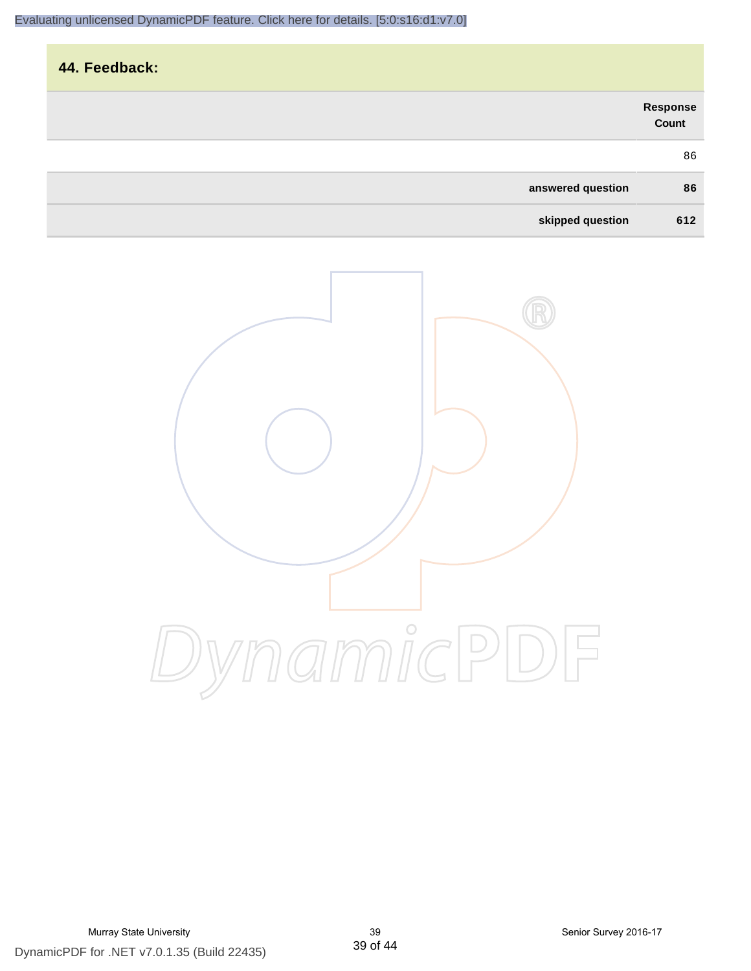| 44. Feedback:     |                   |
|-------------------|-------------------|
|                   | Response<br>Count |
|                   | 86                |
| answered question | 86                |
| skipped question  | 612               |

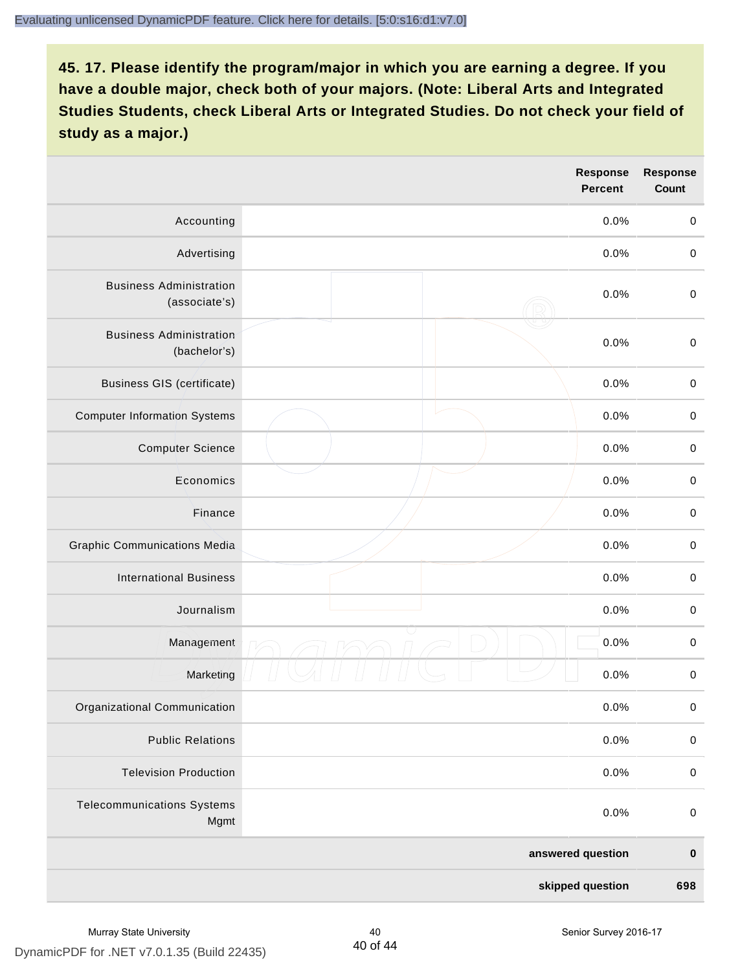|                                                 | Response<br><b>Percent</b> | <b>Response</b><br><b>Count</b> |
|-------------------------------------------------|----------------------------|---------------------------------|
| Accounting                                      | 0.0%                       | $\mathbf 0$                     |
| Advertising                                     | 0.0%                       | $\,0\,$                         |
| <b>Business Administration</b><br>(associate's) | 0.0%                       | $\pmb{0}$                       |
| <b>Business Administration</b><br>(bachelor's)  | 0.0%                       | $\mathbf 0$                     |
| <b>Business GIS (certificate)</b>               | 0.0%                       | $\pmb{0}$                       |
| <b>Computer Information Systems</b>             | 0.0%                       | $\pmb{0}$                       |
| <b>Computer Science</b>                         | 0.0%                       | $\mathbf 0$                     |
| Economics                                       | 0.0%                       | $\mathbf 0$                     |
| Finance                                         | 0.0%                       | $\pmb{0}$                       |
| <b>Graphic Communications Media</b>             | 0.0%                       | $\,0\,$                         |
| <b>International Business</b>                   | 0.0%                       | $\pmb{0}$                       |
| Journalism                                      | 0.0%                       | $\mathbf 0$                     |
| Management                                      | 0.0%                       | $\mathbf 0$                     |
| Marketing                                       | 0.0%                       | $\pmb{0}$                       |
| Organizational Communication                    | 0.0%                       | 0                               |
| <b>Public Relations</b>                         | 0.0%                       | $\mathbf 0$                     |
| <b>Television Production</b>                    | 0.0%                       | $\mathbf 0$                     |
| <b>Telecommunications Systems</b><br>Mgmt       | 0.0%                       | $\mathbf 0$                     |
|                                                 | answered question          | $\pmb{0}$                       |
|                                                 | skipped question           | 698                             |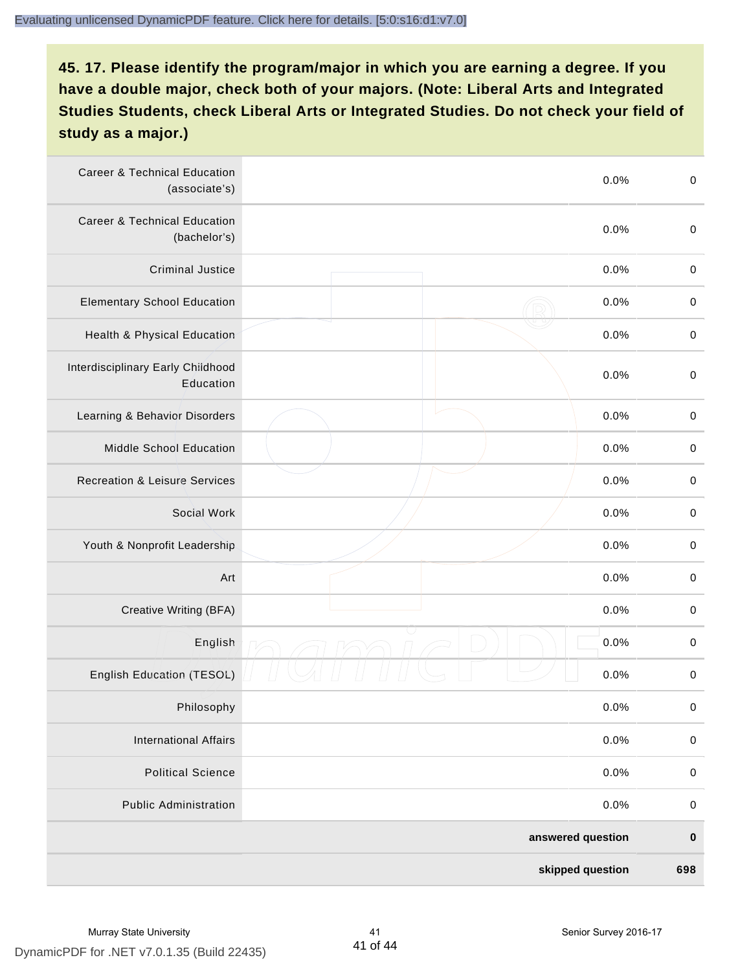| <b>Career &amp; Technical Education</b><br>(associate's) | 0.0%              | $\pmb{0}$   |
|----------------------------------------------------------|-------------------|-------------|
| <b>Career &amp; Technical Education</b><br>(bachelor's)  | 0.0%              | $\mathbf 0$ |
| <b>Criminal Justice</b>                                  | 0.0%              | $\,0\,$     |
| <b>Elementary School Education</b>                       | 0.0%              | $\,0\,$     |
| Health & Physical Education                              | 0.0%              | $\pmb{0}$   |
| Interdisciplinary Early Childhood<br>Education           | 0.0%              | $\pmb{0}$   |
| Learning & Behavior Disorders                            | 0.0%              | $\,0\,$     |
| <b>Middle School Education</b>                           | 0.0%              | $\pmb{0}$   |
| <b>Recreation &amp; Leisure Services</b>                 | 0.0%              | $\pmb{0}$   |
| Social Work                                              | 0.0%              | $\,0\,$     |
| Youth & Nonprofit Leadership                             | 0.0%              | $\,0\,$     |
| Art                                                      | 0.0%              | $\,0\,$     |
| Creative Writing (BFA)                                   | 0.0%              | $\mathbf 0$ |
| English                                                  | 0.0%              | $\,0\,$     |
| English Education (TESOL)                                | 0.0%              | 0           |
| Philosophy                                               | 0.0%              | 0           |
| <b>International Affairs</b>                             | 0.0%              | $\pmb{0}$   |
| <b>Political Science</b>                                 | 0.0%              | $\pmb{0}$   |
| <b>Public Administration</b>                             | 0.0%              | $\pmb{0}$   |
|                                                          | answered question | $\pmb{0}$   |
|                                                          | skipped question  | 698         |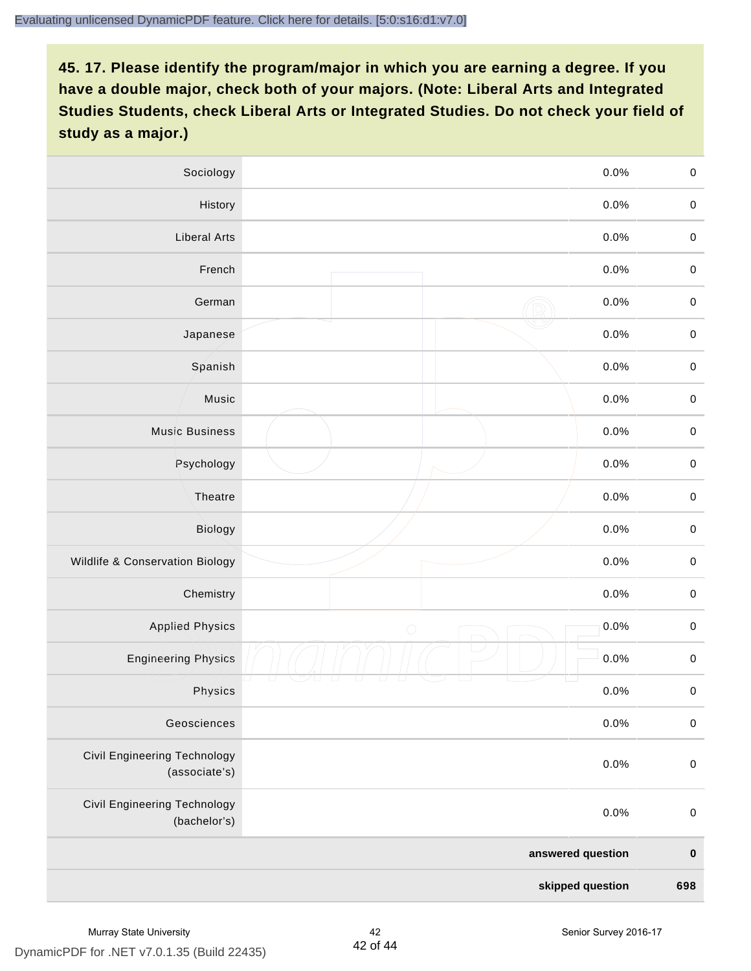| Sociology                                           | 0.0%               | $\mathbf 0$ |
|-----------------------------------------------------|--------------------|-------------|
| History                                             | $0.0\%$            | $\mathbf 0$ |
| <b>Liberal Arts</b>                                 | 0.0%               | $\mathbf 0$ |
| French                                              | 0.0%               | $\pmb{0}$   |
| German                                              | 0.0%               | $\mathbf 0$ |
| Japanese                                            | 0.0%               | $\mathbf 0$ |
| Spanish                                             | 0.0%               | $\mathbf 0$ |
| Music                                               | 0.0%               | $\mathbf 0$ |
| <b>Music Business</b>                               | 0.0%               | $\pmb{0}$   |
| Psychology                                          | 0.0%               | $\mathbf 0$ |
| Theatre                                             | 0.0%               | $\mathbf 0$ |
| Biology                                             | 0.0%               | $\mathbf 0$ |
| Wildlife & Conservation Biology                     | 0.0%               | $\mathbf 0$ |
| Chemistry                                           | 0.0%               | $\pmb{0}$   |
| <b>Applied Physics</b>                              | 0.0%<br>$\bigcirc$ | $\mathbf 0$ |
| <b>Engineering Physics</b>                          | 0.0%               | $\mathbf 0$ |
| Physics                                             | 0.0%               | $\mathbf 0$ |
| Geosciences                                         | 0.0%               | $\mathbf 0$ |
| Civil Engineering Technology<br>(associate's)       | 0.0%               | $\pmb{0}$   |
| <b>Civil Engineering Technology</b><br>(bachelor's) | 0.0%               | $\pmb{0}$   |
|                                                     | answered question  |             |
|                                                     | skipped question   | 698         |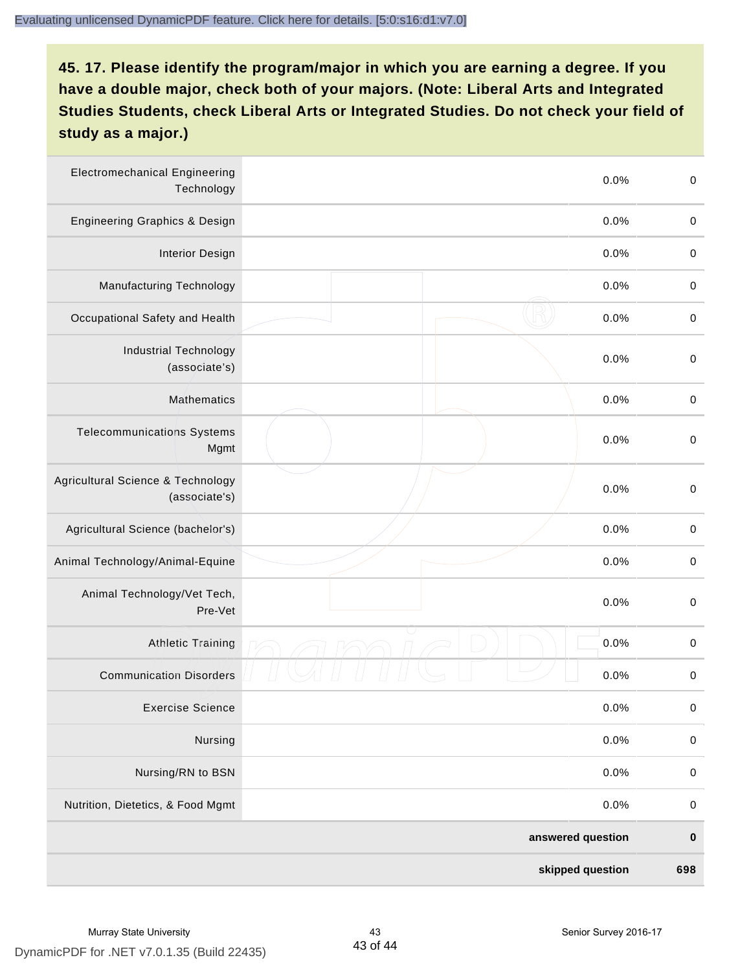| <b>Electromechanical Engineering</b><br>Technology | 0.0%              | $\mathbf 0$ |
|----------------------------------------------------|-------------------|-------------|
| <b>Engineering Graphics &amp; Design</b>           | 0.0%              | $\mathbf 0$ |
| <b>Interior Design</b>                             | 0.0%              | $\pmb{0}$   |
| Manufacturing Technology                           | 0.0%              | 0           |
| Occupational Safety and Health                     | 0.0%              | $\pmb{0}$   |
| <b>Industrial Technology</b><br>(associate's)      | 0.0%              | $\,0\,$     |
| <b>Mathematics</b>                                 | 0.0%              | $\,0\,$     |
| <b>Telecommunications Systems</b><br>Mgmt          | 0.0%              | $\,0\,$     |
| Agricultural Science & Technology<br>(associate's) | 0.0%              | $\mathbf 0$ |
| Agricultural Science (bachelor's)                  | 0.0%              | $\mathbf 0$ |
| Animal Technology/Animal-Equine                    | 0.0%              | $\,0\,$     |
| Animal Technology/Vet Tech,<br>Pre-Vet             | 0.0%              | $\pmb{0}$   |
| <b>Athletic Training</b>                           | 0.0%              | $\,0\,$     |
| <b>Communication Disorders</b>                     | 0.0%              | 0           |
| <b>Exercise Science</b>                            | 0.0%              | $\pmb{0}$   |
| Nursing                                            | 0.0%              | $\pmb{0}$   |
| Nursing/RN to BSN                                  | 0.0%              | $\pmb{0}$   |
| Nutrition, Dietetics, & Food Mgmt                  | 0.0%              | $\,0\,$     |
|                                                    | answered question | $\pmb{0}$   |
|                                                    | skipped question  | 698         |